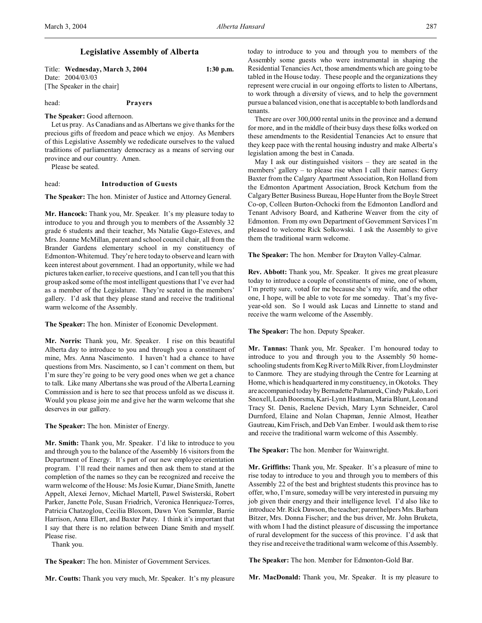# **Legislative Assembly of Alberta**

Title: **Wednesday, March 3, 2004 1:30 p.m.** Date: 2004/03/03 [The Speaker in the chair]

head: **Prayers**

## **The Speaker:** Good afternoon.

Let us pray. As Canadians and as Albertans we give thanks for the precious gifts of freedom and peace which we enjoy. As Members of this Legislative Assembly we rededicate ourselves to the valued traditions of parliamentary democracy as a means of serving our province and our country. Amen.

Please be seated.

#### head: **Introduction of Guests**

**The Speaker:** The hon. Minister of Justice and Attorney General.

**Mr. Hancock:** Thank you, Mr. Speaker. It's my pleasure today to introduce to you and through you to members of the Assembly 32 grade 6 students and their teacher, Ms Natalie Gago-Esteves, and Mrs. Joanne McMillan, parent and school council chair, all from the Brander Gardens elementary school in my constituency of Edmonton-Whitemud. They're here today to observe and learn with keen interest about government. I had an opportunity, while we had pictures taken earlier, to receive questions, and I can tell you that this group asked some of the most intelligent questions that I've ever had as a member of the Legislature. They're seated in the members' gallery. I'd ask that they please stand and receive the traditional warm welcome of the Assembly.

**The Speaker:** The hon. Minister of Economic Development.

**Mr. Norris:** Thank you, Mr. Speaker. I rise on this beautiful Alberta day to introduce to you and through you a constituent of mine, Mrs. Anna Nascimento. I haven't had a chance to have questions from Mrs. Nascimento, so I can't comment on them, but I'm sure they're going to be very good ones when we get a chance to talk. Like many Albertans she was proud of the Alberta Learning Commission and is here to see that process unfold as we discuss it. Would you please join me and give her the warm welcome that she deserves in our gallery.

**The Speaker:** The hon. Minister of Energy.

**Mr. Smith:** Thank you, Mr. Speaker. I'd like to introduce to you and through you to the balance of the Assembly 16 visitors from the Department of Energy. It's part of our new employee orientation program. I'll read their names and then ask them to stand at the completion of the names so they can be recognized and receive the warm welcome of the House: Ms Josie Kumar, Diane Smith, Janette Appelt, Alexei Jernov, Michael Martell, Pawel Swisterski, Robert Parker, Janette Pole, Susan Friedrich, Veronica Henriquez-Torres, Patricia Chatzoglou, Cecilia Bloxom, Dawn Von Semmler, Barrie Harrison, Anna Ellert, and Baxter Patey. I think it's important that I say that there is no relation between Diane Smith and myself. Please rise.

Thank you.

**The Speaker:** The hon. Minister of Government Services.

**Mr. Coutts:** Thank you very much, Mr. Speaker. It's my pleasure

today to introduce to you and through you to members of the Assembly some guests who were instrumental in shaping the Residential Tenancies Act, those amendments which are going to be tabled in the House today. These people and the organizations they represent were crucial in our ongoing efforts to listen to Albertans, to work through a diversity of views, and to help the government pursue a balanced vision, one that is acceptable to both landlords and tenants.

There are over 300,000 rental units in the province and a demand for more, and in the middle of their busy days these folks worked on these amendments to the Residential Tenancies Act to ensure that they keep pace with the rental housing industry and make Alberta's legislation among the best in Canada.

May I ask our distinguished visitors – they are seated in the members' gallery – to please rise when I call their names: Gerry Baxter from the Calgary Apartment Association, Ron Holland from the Edmonton Apartment Association, Brock Ketchum from the Calgary Better Business Bureau, Hope Hunter from the Boyle Street Co-op, Colleen Burton-Ochocki from the Edmonton Landlord and Tenant Advisory Board, and Katherine Weaver from the city of Edmonton. From my own Department of Government Services I'm pleased to welcome Rick Solkowski. I ask the Assembly to give them the traditional warm welcome.

**The Speaker:** The hon. Member for Drayton Valley-Calmar.

**Rev. Abbott:** Thank you, Mr. Speaker. It gives me great pleasure today to introduce a couple of constituents of mine, one of whom, I'm pretty sure, voted for me because she's my wife, and the other one, I hope, will be able to vote for me someday. That's my fiveyear-old son. So I would ask Lucas and Linnette to stand and receive the warm welcome of the Assembly.

**The Speaker:** The hon. Deputy Speaker.

**Mr. Tannas:** Thank you, Mr. Speaker. I'm honoured today to introduce to you and through you to the Assembly 50 homeschooling students from Keg River to Milk River, from Lloydminster to Canmore. They are studying through the Centre for Learning at Home, which is headquartered in my constituency, in Okotoks. They are accompanied today by Bernadette Palamarek, Cindy Pukalo, Lori Snoxell, Leah Boorsma, Kari-Lynn Hastman, Maria Blunt, Leon and Tracy St. Denis, Raelene Devich, Mary Lynn Schneider, Carol Durnford, Elaine and Nolan Chapman, Jennie Almost, Heather Gautreau, Kim Frisch, and Deb Van Ember. I would ask them to rise and receive the traditional warm welcome of this Assembly.

**The Speaker:** The hon. Member for Wainwright.

**Mr. Griffiths:** Thank you, Mr. Speaker. It's a pleasure of mine to rise today to introduce to you and through you to members of this Assembly 22 of the best and brightest students this province has to offer, who, I'm sure, someday will be very interested in pursuing my job given their energy and their intelligence level. I'd also like to introduce Mr. Rick Dawson, the teacher; parent helpers Mrs. Barbara Bitzer, Mrs. Donna Fischer; and the bus driver, Mr. John Bruketa, with whom I had the distinct pleasure of discussing the importance of rural development for the success of this province. I'd ask that they rise and receive the traditional warm welcome of this Assembly.

**The Speaker:** The hon. Member for Edmonton-Gold Bar.

**Mr. MacDonald:** Thank you, Mr. Speaker. It is my pleasure to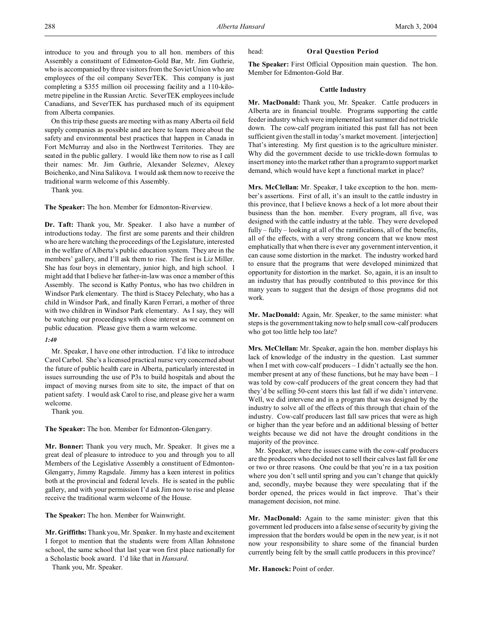introduce to you and through you to all hon. members of this Assembly a constituent of Edmonton-Gold Bar, Mr. Jim Guthrie, who is accompanied by three visitors from the Soviet Union who are employees of the oil company SeverTEK. This company is just completing a \$355 million oil processing facility and a 110-kilometre pipeline in the Russian Arctic. SeverTEK employees include Canadians, and SeverTEK has purchased much of its equipment from Alberta companies.

On this trip these guests are meeting with as many Alberta oil field supply companies as possible and are here to learn more about the safety and environmental best practices that happen in Canada in Fort McMurray and also in the Northwest Territories. They are seated in the public gallery. I would like them now to rise as I call their names: Mr. Jim Guthrie, Alexander Seleznev, Alexey Boichenko, and Nina Salikova. I would ask them now to receive the traditional warm welcome of this Assembly.

Thank you.

**The Speaker:** The hon. Member for Edmonton-Riverview.

**Dr. Taft:** Thank you, Mr. Speaker. I also have a number of introductions today. The first are some parents and their children who are here watching the proceedings of the Legislature, interested in the welfare of Alberta's public education system. They are in the members' gallery, and I'll ask them to rise. The first is Liz Miller. She has four boys in elementary, junior high, and high school. I might add that I believe her father-in-law was once a member of this Assembly. The second is Kathy Pontus, who has two children in Windsor Park elementary. The third is Stacey Pelechaty, who has a child in Windsor Park, and finally Karen Ferrari, a mother of three with two children in Windsor Park elementary. As I say, they will be watching our proceedings with close interest as we comment on public education. Please give them a warm welcome.

## *1:40*

Mr. Speaker, I have one other introduction. I'd like to introduce Carol Carbol. She's a licensed practical nurse very concerned about the future of public health care in Alberta, particularly interested in issues surrounding the use of P3s to build hospitals and about the impact of moving nurses from site to site, the impact of that on patient safety. I would ask Carol to rise, and please give her a warm welcome.

Thank you.

**The Speaker:** The hon. Member for Edmonton-Glengarry.

**Mr. Bonner:** Thank you very much, Mr. Speaker. It gives me a great deal of pleasure to introduce to you and through you to all Members of the Legislative Assembly a constituent of Edmonton-Glengarry, Jimmy Ragsdale. Jimmy has a keen interest in politics both at the provincial and federal levels. He is seated in the public gallery, and with your permission I'd ask Jim now to rise and please receive the traditional warm welcome of the House.

**The Speaker:** The hon. Member for Wainwright.

**Mr. Griffiths:** Thank you, Mr. Speaker. In my haste and excitement I forgot to mention that the students were from Allan Johnstone school, the same school that last year won first place nationally for a Scholastic book award. I'd like that in *Hansard*.

Thank you, Mr. Speaker.

## head: **Oral Question Period**

**The Speaker:** First Official Opposition main question. The hon. Member for Edmonton-Gold Bar.

# **Cattle Industry**

**Mr. MacDonald:** Thank you, Mr. Speaker. Cattle producers in Alberta are in financial trouble. Programs supporting the cattle feeder industry which were implemented last summer did not trickle down. The cow-calf program initiated this past fall has not been sufficient given the stall in today's market movement. [interjection] That's interesting. My first question is to the agriculture minister. Why did the government decide to use trickle-down formulas to insert money into the market rather than a program to support market demand, which would have kept a functional market in place?

**Mrs. McClellan:** Mr. Speaker, I take exception to the hon. member's assertions. First of all, it's an insult to the cattle industry in this province, that I believe knows a heck of a lot more about their business than the hon. member. Every program, all five, was designed with the cattle industry at the table. They were developed fully – fully – looking at all of the ramifications, all of the benefits, all of the effects, with a very strong concern that we know most emphatically that when there is ever any government intervention, it can cause some distortion in the market. The industry worked hard to ensure that the programs that were developed minimized that opportunity for distortion in the market. So, again, it is an insult to an industry that has proudly contributed to this province for this many years to suggest that the design of those programs did not work.

**Mr. MacDonald:** Again, Mr. Speaker, to the same minister: what steps is the government taking now to help small cow-calf producers who got too little help too late?

**Mrs. McClellan:** Mr. Speaker, again the hon. member displays his lack of knowledge of the industry in the question. Last summer when I met with cow-calf producers – I didn't actually see the hon. member present at any of these functions, but he may have been – I was told by cow-calf producers of the great concern they had that they'd be selling 50-cent steers this last fall if we didn't intervene. Well, we did intervene and in a program that was designed by the industry to solve all of the effects of this through that chain of the industry. Cow-calf producers last fall saw prices that were as high or higher than the year before and an additional blessing of better weights because we did not have the drought conditions in the majority of the province.

Mr. Speaker, where the issues came with the cow-calf producers are the producers who decided not to sell their calves last fall for one or two or three reasons. One could be that you're in a tax position where you don't sell until spring and you can't change that quickly and, secondly, maybe because they were speculating that if the border opened, the prices would in fact improve. That's their management decision, not mine.

**Mr. MacDonald:** Again to the same minister: given that this government led producers into a false sense of security by giving the impression that the borders would be open in the new year, is it not now your responsibility to share some of the financial burden currently being felt by the small cattle producers in this province?

**Mr. Hancock:** Point of order.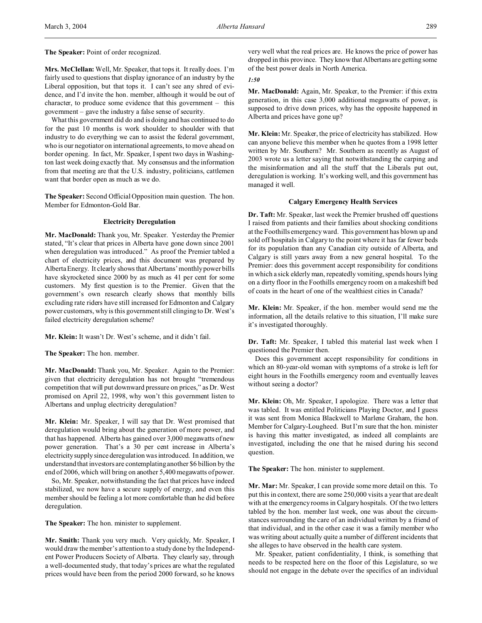**The Speaker:** Point of order recognized.

**Mrs. McClellan:** Well, Mr. Speaker, that tops it. It really does. I'm fairly used to questions that display ignorance of an industry by the Liberal opposition, but that tops it. I can't see any shred of evidence, and I'd invite the hon. member, although it would be out of character, to produce some evidence that this government – this government – gave the industry a false sense of security.

What this government did do and is doing and has continued to do for the past 10 months is work shoulder to shoulder with that industry to do everything we can to assist the federal government, who is our negotiator on international agreements, to move ahead on border opening. In fact, Mr. Speaker, I spent two days in Washington last week doing exactly that. My consensus and the information from that meeting are that the U.S. industry, politicians, cattlemen want that border open as much as we do.

**The Speaker:** Second Official Opposition main question. The hon. Member for Edmonton-Gold Bar.

## **Electricity Deregulation**

**Mr. MacDonald:** Thank you, Mr. Speaker. Yesterday the Premier stated, "It's clear that prices in Alberta have gone down since 2001 when deregulation was introduced." As proof the Premier tabled a chart of electricity prices, and this document was prepared by Alberta Energy. It clearly shows that Albertans' monthly power bills have skyrocketed since 2000 by as much as 41 per cent for some customers. My first question is to the Premier. Given that the government's own research clearly shows that monthly bills excluding rate riders have still increased for Edmonton and Calgary power customers, why is this government still clinging to Dr. West's failed electricity deregulation scheme?

**Mr. Klein:** It wasn't Dr. West's scheme, and it didn't fail.

**The Speaker:** The hon. member.

**Mr. MacDonald:** Thank you, Mr. Speaker. Again to the Premier: given that electricity deregulation has not brought "tremendous competition that will put downward pressure on prices," as Dr. West promised on April 22, 1998, why won't this government listen to Albertans and unplug electricity deregulation?

**Mr. Klein:** Mr. Speaker, I will say that Dr. West promised that deregulation would bring about the generation of more power, and that has happened. Alberta has gained over 3,000 megawatts of new power generation. That's a 30 per cent increase in Alberta's electricity supply since deregulation was introduced. In addition, we understand that investors are contemplating another \$6 billion by the end of 2006, which will bring on another 5,400 megawatts of power.

So, Mr. Speaker, notwithstanding the fact that prices have indeed stabilized, we now have a secure supply of energy, and even this member should be feeling a lot more comfortable than he did before deregulation.

**The Speaker:** The hon. minister to supplement.

**Mr. Smith:** Thank you very much. Very quickly, Mr. Speaker, I would draw the member's attention to a study done by the Independent Power Producers Society of Alberta. They clearly say, through a well-documented study, that today's prices are what the regulated prices would have been from the period 2000 forward, so he knows very well what the real prices are. He knows the price of power has dropped in this province. They know that Albertans are getting some of the best power deals in North America.

*1:50*

**Mr. MacDonald:** Again, Mr. Speaker, to the Premier: if this extra generation, in this case 3,000 additional megawatts of power, is supposed to drive down prices, why has the opposite happened in Alberta and prices have gone up?

**Mr. Klein:** Mr. Speaker, the price of electricity has stabilized. How can anyone believe this member when he quotes from a 1998 letter written by Mr. Southern? Mr. Southern as recently as August of 2003 wrote us a letter saying that notwithstanding the carping and the misinformation and all the stuff that the Liberals put out, deregulation is working. It's working well, and this government has managed it well.

# **Calgary Emergency Health Services**

**Dr. Taft:** Mr. Speaker, last week the Premier brushed off questions I raised from patients and their families about shocking conditions at the Foothills emergency ward. This government has blown up and sold off hospitals in Calgary to the point where it has far fewer beds for its population than any Canadian city outside of Alberta, and Calgary is still years away from a new general hospital. To the Premier: does this government accept responsibility for conditions in which a sick elderly man, repeatedly vomiting, spends hours lying on a dirty floor in the Foothills emergency room on a makeshift bed of coats in the heart of one of the wealthiest cities in Canada?

**Mr. Klein:** Mr. Speaker, if the hon. member would send me the information, all the details relative to this situation, I'll make sure it's investigated thoroughly.

**Dr. Taft:** Mr. Speaker, I tabled this material last week when I questioned the Premier then.

Does this government accept responsibility for conditions in which an 80-year-old woman with symptoms of a stroke is left for eight hours in the Foothills emergency room and eventually leaves without seeing a doctor?

**Mr. Klein:** Oh, Mr. Speaker, I apologize. There was a letter that was tabled. It was entitled Politicians Playing Doctor, and I guess it was sent from Monica Blackwell to Marlene Graham, the hon. Member for Calgary-Lougheed. But I'm sure that the hon. minister is having this matter investigated, as indeed all complaints are investigated, including the one that he raised during his second question.

**The Speaker:** The hon. minister to supplement.

**Mr. Mar:** Mr. Speaker, I can provide some more detail on this. To put this in context, there are some 250,000 visits a year that are dealt with at the emergency rooms in Calgary hospitals. Of the two letters tabled by the hon. member last week, one was about the circumstances surrounding the care of an individual written by a friend of that individual, and in the other case it was a family member who was writing about actually quite a number of different incidents that she alleges to have observed in the health care system.

Mr. Speaker, patient confidentiality, I think, is something that needs to be respected here on the floor of this Legislature, so we should not engage in the debate over the specifics of an individual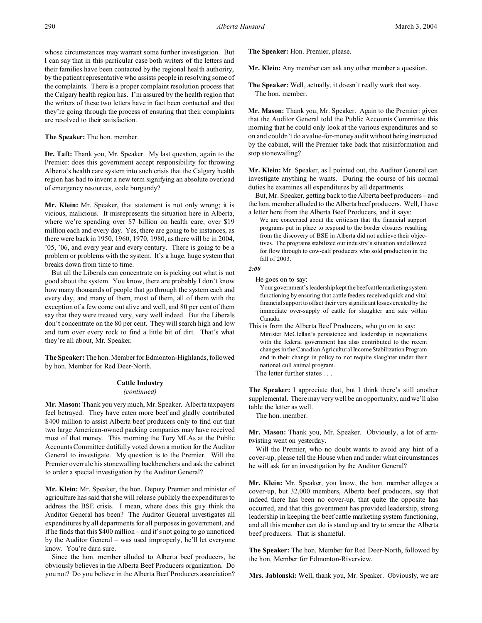whose circumstances may warrant some further investigation. But I can say that in this particular case both writers of the letters and their families have been contacted by the regional health authority, by the patient representative who assists people in resolving some of the complaints. There is a proper complaint resolution process that the Calgary health region has. I'm assured by the health region that the writers of these two letters have in fact been contacted and that they're going through the process of ensuring that their complaints are resolved to their satisfaction.

**The Speaker:** The hon. member.

**Dr. Taft:** Thank you, Mr. Speaker. My last question, again to the Premier: does this government accept responsibility for throwing Alberta's health care system into such crisis that the Calgary health region has had to invent a new term signifying an absolute overload of emergency resources, code burgundy?

**Mr. Klein:** Mr. Speaker, that statement is not only wrong; it is vicious, malicious. It misrepresents the situation here in Alberta, where we're spending over \$7 billion on health care, over \$19 million each and every day. Yes, there are going to be instances, as there were back in 1950, 1960, 1970, 1980, as there will be in 2004, '05, '06, and every year and every century. There is going to be a problem or problems with the system. It's a huge, huge system that breaks down from time to time.

But all the Liberals can concentrate on is picking out what is not good about the system. You know, there are probably I don't know how many thousands of people that go through the system each and every day, and many of them, most of them, all of them with the exception of a few come out alive and well, and 80 per cent of them say that they were treated very, very well indeed. But the Liberals don't concentrate on the 80 per cent. They will search high and low and turn over every rock to find a little bit of dirt. That's what they're all about, Mr. Speaker.

**The Speaker:** The hon. Member for Edmonton-Highlands, followed by hon. Member for Red Deer-North.

## **Cattle Industry**

#### *(continued)*

**Mr. Mason:** Thank you very much, Mr. Speaker. Alberta taxpayers feel betrayed. They have eaten more beef and gladly contributed \$400 million to assist Alberta beef producers only to find out that two large American-owned packing companies may have received most of that money. This morning the Tory MLAs at the Public Accounts Committee dutifully voted down a motion for the Auditor General to investigate. My question is to the Premier. Will the Premier overrule his stonewalling backbenchers and ask the cabinet to order a special investigation by the Auditor General?

**Mr. Klein:** Mr. Speaker, the hon. Deputy Premier and minister of agriculture has said that she will release publicly the expenditures to address the BSE crisis. I mean, where does this guy think the Auditor General has been? The Auditor General investigates all expenditures by all departments for all purposes in government, and if he finds that this \$400 million – and it's not going to go unnoticed by the Auditor General – was used improperly, he'll let everyone know. You're darn sure.

Since the hon. member alluded to Alberta beef producers, he obviously believes in the Alberta Beef Producers organization. Do you not? Do you believe in the Alberta Beef Producers association? **The Speaker:** Hon. Premier, please.

**Mr. Klein:** Any member can ask any other member a question.

**The Speaker:** Well, actually, it doesn't really work that way. The hon. member.

**Mr. Mason:** Thank you, Mr. Speaker. Again to the Premier: given that the Auditor General told the Public Accounts Committee this morning that he could only look at the various expenditures and so on and couldn't do a value-for-money audit without being instructed by the cabinet, will the Premier take back that misinformation and stop stonewalling?

**Mr. Klein:** Mr. Speaker, as I pointed out, the Auditor General can investigate anything he wants. During the course of his normal duties he examines all expenditures by all departments.

But, Mr. Speaker, getting back to the Alberta beef producers – and the hon. member alluded to the Alberta beef producers. Well, I have a letter here from the Alberta Beef Producers, and it says:

We are concerned about the criticism that the financial support programs put in place to respond to the border closures resulting from the discovery of BSE in Alberta did not achieve their objectives. The programs stabilized our industry's situation and allowed for flow through to cow-calf producers who sold production in the fall of 2003.

## *2:00*

He goes on to say:

Your government's leadership kept the beef cattle marketing system functioning by ensuring that cattle feeders received quick and vital financial support to offset their very significant losses created by the immediate over-supply of cattle for slaughter and sale within Canada.

This is from the Alberta Beef Producers, who go on to say: Minister McClellan's persistence and leadership in negotiations with the federal government has also contributed to the recent changes in the Canadian Agricultural Income Stabilization Program and in their change in policy to not require slaughter under their national cull animal program. The letter further states . . .

**The Speaker:** I appreciate that, but I think there's still another supplemental. There may very well be an opportunity, and we'll also table the letter as well.

The hon. member.

**Mr. Mason:** Thank you, Mr. Speaker. Obviously, a lot of armtwisting went on yesterday.

Will the Premier, who no doubt wants to avoid any hint of a cover-up, please tell the House when and under what circumstances he will ask for an investigation by the Auditor General?

**Mr. Klein:** Mr. Speaker, you know, the hon. member alleges a cover-up, but 32,000 members, Alberta beef producers, say that indeed there has been no cover-up, that quite the opposite has occurred, and that this government has provided leadership, strong leadership in keeping the beef cattle marketing system functioning, and all this member can do is stand up and try to smear the Alberta beef producers. That is shameful.

**The Speaker:** The hon. Member for Red Deer-North, followed by the hon. Member for Edmonton-Riverview.

**Mrs. Jablonski:** Well, thank you, Mr. Speaker. Obviously, we are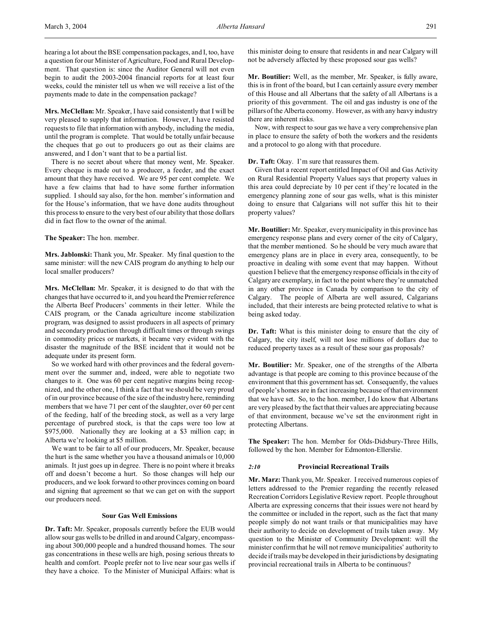hearing a lot about the BSE compensation packages, and I, too, have a question for our Minister of Agriculture, Food and Rural Development. That question is: since the Auditor General will not even begin to audit the 2003-2004 financial reports for at least four weeks, could the minister tell us when we will receive a list of the payments made to date in the compensation package?

**Mrs. McClellan:** Mr. Speaker, I have said consistently that I will be very pleased to supply that information. However, I have resisted requests to file that information with anybody, including the media, until the program is complete. That would be totally unfair because the cheques that go out to producers go out as their claims are answered, and I don't want that to be a partial list.

There is no secret about where that money went, Mr. Speaker. Every cheque is made out to a producer, a feeder, and the exact amount that they have received. We are 95 per cent complete. We have a few claims that had to have some further information supplied. I should say also, for the hon. member's information and for the House's information, that we have done audits throughout this process to ensure to the very best of our ability that those dollars did in fact flow to the owner of the animal.

**The Speaker:** The hon. member.

**Mrs. Jablonski:** Thank you, Mr. Speaker. My final question to the same minister: will the new CAIS program do anything to help our local smaller producers?

**Mrs. McClellan:** Mr. Speaker, it is designed to do that with the changes that have occurred to it, and you heard the Premier reference the Alberta Beef Producers' comments in their letter. While the CAIS program, or the Canada agriculture income stabilization program, was designed to assist producers in all aspects of primary and secondary production through difficult times or through swings in commodity prices or markets, it became very evident with the disaster the magnitude of the BSE incident that it would not be adequate under its present form.

So we worked hard with other provinces and the federal government over the summer and, indeed, were able to negotiate two changes to it. One was 60 per cent negative margins being recognized, and the other one, I think a fact that we should be very proud of in our province because of the size of the industry here, reminding members that we have 71 per cent of the slaughter, over 60 per cent of the feeding, half of the breeding stock, as well as a very large percentage of purebred stock, is that the caps were too low at \$975,000. Nationally they are looking at a \$3 million cap; in Alberta we're looking at \$5 million.

We want to be fair to all of our producers, Mr. Speaker, because the hurt is the same whether you have a thousand animals or 10,000 animals. It just goes up in degree. There is no point where it breaks off and doesn't become a hurt. So those changes will help our producers, and we look forward to other provinces coming on board and signing that agreement so that we can get on with the support our producers need.

#### **Sour Gas Well Emissions**

**Dr. Taft:** Mr. Speaker, proposals currently before the EUB would allow sour gas wells to be drilled in and around Calgary, encompassing about 300,000 people and a hundred thousand homes. The sour gas concentrations in these wells are high, posing serious threats to health and comfort. People prefer not to live near sour gas wells if they have a choice. To the Minister of Municipal Affairs: what is

this minister doing to ensure that residents in and near Calgary will not be adversely affected by these proposed sour gas wells?

**Mr. Boutilier:** Well, as the member, Mr. Speaker, is fully aware, this is in front of the board, but I can certainly assure every member of this House and all Albertans that the safety of all Albertans is a priority of this government. The oil and gas industry is one of the pillars of the Alberta economy. However, as with any heavy industry there are inherent risks.

Now, with respect to sour gas we have a very comprehensive plan in place to ensure the safety of both the workers and the residents and a protocol to go along with that procedure.

**Dr. Taft:** Okay. I'm sure that reassures them.

Given that a recent report entitled Impact of Oil and Gas Activity on Rural Residential Property Values says that property values in this area could depreciate by 10 per cent if they're located in the emergency planning zone of sour gas wells, what is this minister doing to ensure that Calgarians will not suffer this hit to their property values?

**Mr. Boutilier:** Mr. Speaker, every municipality in this province has emergency response plans and every corner of the city of Calgary, that the member mentioned. So he should be very much aware that emergency plans are in place in every area, consequently, to be proactive in dealing with some event that may happen. Without question I believe that the emergency response officials in the city of Calgary are exemplary, in fact to the point where they're unmatched in any other province in Canada by comparison to the city of Calgary. The people of Alberta are well assured, Calgarians included, that their interests are being protected relative to what is being asked today.

**Dr. Taft:** What is this minister doing to ensure that the city of Calgary, the city itself, will not lose millions of dollars due to reduced property taxes as a result of these sour gas proposals?

**Mr. Boutilier:** Mr. Speaker, one of the strengths of the Alberta advantage is that people are coming to this province because of the environment that this government has set. Consequently, the values of people's homes are in fact increasing because of that environment that we have set. So, to the hon. member, I do know that Albertans are very pleased by the fact that their values are appreciating because of that environment, because we've set the environment right in protecting Albertans.

**The Speaker:** The hon. Member for Olds-Didsbury-Three Hills, followed by the hon. Member for Edmonton-Ellerslie.

## *2:10* **Provincial Recreational Trails**

**Mr. Marz:** Thank you, Mr. Speaker. I received numerous copies of letters addressed to the Premier regarding the recently released Recreation Corridors Legislative Review report. People throughout Alberta are expressing concerns that their issues were not heard by the committee or included in the report, such as the fact that many people simply do not want trails or that municipalities may have their authority to decide on development of trails taken away. My question to the Minister of Community Development: will the minister confirm that he will not remove municipalities' authority to decide if trails may be developed in their jurisdictions by designating provincial recreational trails in Alberta to be continuous?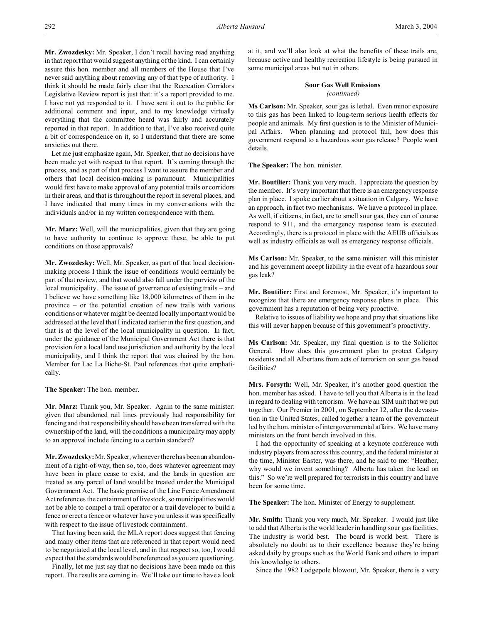**Mr. Zwozdesky:** Mr. Speaker, I don't recall having read anything in that report that would suggest anything of the kind. I can certainly assure this hon. member and all members of the House that I've never said anything about removing any of that type of authority. I think it should be made fairly clear that the Recreation Corridors Legislative Review report is just that: it's a report provided to me. I have not yet responded to it. I have sent it out to the public for additional comment and input, and to my knowledge virtually everything that the committee heard was fairly and accurately reported in that report. In addition to that, I've also received quite a bit of correspondence on it, so I understand that there are some anxieties out there.

Let me just emphasize again, Mr. Speaker, that no decisions have been made yet with respect to that report. It's coming through the process, and as part of that process I want to assure the member and others that local decision-making is paramount. Municipalities would first have to make approval of any potential trails or corridors in their areas, and that is throughout the report in several places, and I have indicated that many times in my conversations with the individuals and/or in my written correspondence with them.

**Mr. Marz:** Well, will the municipalities, given that they are going to have authority to continue to approve these, be able to put conditions on those approvals?

**Mr. Zwozdesky:** Well, Mr. Speaker, as part of that local decisionmaking process I think the issue of conditions would certainly be part of that review, and that would also fall under the purview of the local municipality. The issue of governance of existing trails – and I believe we have something like 18,000 kilometres of them in the province – or the potential creation of new trails with various conditions or whatever might be deemed locally important would be addressed at the level that I indicated earlier in the first question, and that is at the level of the local municipality in question. In fact, under the guidance of the Municipal Government Act there is that provision for a local land use jurisdiction and authority by the local municipality, and I think the report that was chaired by the hon. Member for Lac La Biche-St. Paul references that quite emphatically.

**The Speaker:** The hon. member.

**Mr. Marz:** Thank you, Mr. Speaker. Again to the same minister: given that abandoned rail lines previously had responsibility for fencing and that responsibility should have been transferred with the ownership of the land, will the conditions a municipality may apply to an approval include fencing to a certain standard?

**Mr. Zwozdesky:** Mr. Speaker, whenever there has been an abandonment of a right-of-way, then so, too, does whatever agreement may have been in place cease to exist, and the lands in question are treated as any parcel of land would be treated under the Municipal Government Act. The basic premise of the Line Fence Amendment Act references the containment of livestock, so municipalities would not be able to compel a trail operator or a trail developer to build a fence or erect a fence or whatever have you unless it was specifically with respect to the issue of livestock containment.

That having been said, the MLA report does suggest that fencing and many other items that are referenced in that report would need to be negotiated at the local level, and in that respect so, too, I would expect that the standards would be referenced as you are questioning.

Finally, let me just say that no decisions have been made on this report. The results are coming in. We'll take our time to have a look

at it, and we'll also look at what the benefits of these trails are, because active and healthy recreation lifestyle is being pursued in some municipal areas but not in others.

# **Sour Gas Well Emissions** *(continued)*

**Ms Carlson:** Mr. Speaker, sour gas is lethal. Even minor exposure to this gas has been linked to long-term serious health effects for people and animals. My first question is to the Minister of Municipal Affairs. When planning and protocol fail, how does this government respond to a hazardous sour gas release? People want details.

**The Speaker:** The hon. minister.

**Mr. Boutilier:** Thank you very much. I appreciate the question by the member. It's very important that there is an emergency response plan in place. I spoke earlier about a situation in Calgary. We have an approach, in fact two mechanisms. We have a protocol in place. As well, if citizens, in fact, are to smell sour gas, they can of course respond to 911, and the emergency response team is executed. Accordingly, there is a protocol in place with the AEUB officials as well as industry officials as well as emergency response officials.

**Ms Carlson:** Mr. Speaker, to the same minister: will this minister and his government accept liability in the event of a hazardous sour gas leak?

**Mr. Boutilier:** First and foremost, Mr. Speaker, it's important to recognize that there are emergency response plans in place. This government has a reputation of being very proactive.

Relative to issues of liability we hope and pray that situations like this will never happen because of this government's proactivity.

**Ms Carlson:** Mr. Speaker, my final question is to the Solicitor General. How does this government plan to protect Calgary residents and all Albertans from acts of terrorism on sour gas based facilities?

**Mrs. Forsyth:** Well, Mr. Speaker, it's another good question the hon. member has asked. I have to tell you that Alberta is in the lead in regard to dealing with terrorism. We have an SIM unit that we put together. Our Premier in 2001, on September 12, after the devastation in the United States, called together a team of the government led by the hon. minister of intergovernmental affairs. We have many ministers on the front bench involved in this.

I had the opportunity of speaking at a keynote conference with industry players from across this country, and the federal minister at the time, Minister Easter, was there, and he said to me: "Heather, why would we invent something? Alberta has taken the lead on this." So we're well prepared for terrorists in this country and have been for some time.

**The Speaker:** The hon. Minister of Energy to supplement.

**Mr. Smith:** Thank you very much, Mr. Speaker. I would just like to add that Alberta is the world leader in handling sour gas facilities. The industry is world best. The board is world best. There is absolutely no doubt as to their excellence because they're being asked daily by groups such as the World Bank and others to impart this knowledge to others.

Since the 1982 Lodgepole blowout, Mr. Speaker, there is a very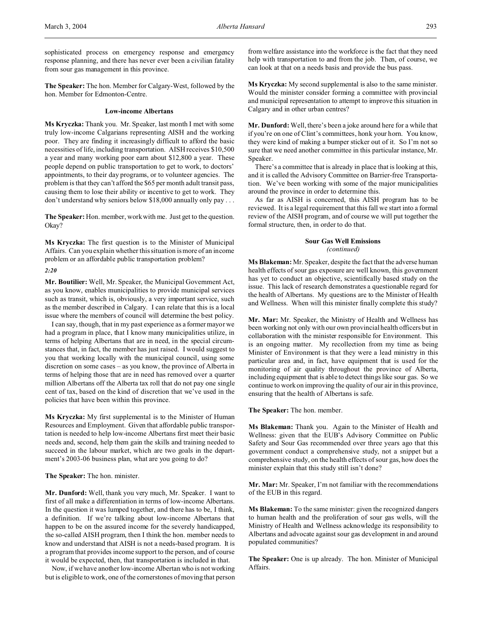sophisticated process on emergency response and emergency response planning, and there has never ever been a civilian fatality from sour gas management in this province.

**The Speaker:** The hon. Member for Calgary-West, followed by the hon. Member for Edmonton-Centre.

## **Low-income Albertans**

**Ms Kryczka:** Thank you. Mr. Speaker, last month I met with some truly low-income Calgarians representing AISH and the working poor. They are finding it increasingly difficult to afford the basic necessities of life, including transportation. AISH receives \$10,500 a year and many working poor earn about \$12,800 a year. These people depend on public transportation to get to work, to doctors' appointments, to their day programs, or to volunteer agencies. The problem is that they can't afford the \$65 per month adult transit pass, causing them to lose their ability or incentive to get to work. They don't understand why seniors below \$18,000 annually only pay . . .

**The Speaker:** Hon. member, work with me. Just get to the question. Okay?

**Ms Kryczka:** The first question is to the Minister of Municipal Affairs. Can you explain whether this situation is more of an income problem or an affordable public transportation problem?

## *2:20*

**Mr. Boutilier:** Well, Mr. Speaker, the Municipal Government Act, as you know, enables municipalities to provide municipal services such as transit, which is, obviously, a very important service, such as the member described in Calgary. I can relate that this is a local issue where the members of council will determine the best policy.

I can say, though, that in my past experience as a former mayor we had a program in place, that I know many municipalities utilize, in terms of helping Albertans that are in need, in the special circumstances that, in fact, the member has just raised. I would suggest to you that working locally with the municipal council, using some discretion on some cases – as you know, the province of Alberta in terms of helping those that are in need has removed over a quarter million Albertans off the Alberta tax roll that do not pay one single cent of tax, based on the kind of discretion that we've used in the policies that have been within this province.

**Ms Kryczka:** My first supplemental is to the Minister of Human Resources and Employment. Given that affordable public transportation is needed to help low-income Albertans first meet their basic needs and, second, help them gain the skills and training needed to succeed in the labour market, which are two goals in the department's 2003-06 business plan, what are you going to do?

**The Speaker:** The hon. minister.

**Mr. Dunford:** Well, thank you very much, Mr. Speaker. I want to first of all make a differentiation in terms of low-income Albertans. In the question it was lumped together, and there has to be, I think, a definition. If we're talking about low-income Albertans that happen to be on the assured income for the severely handicapped, the so-called AISH program, then I think the hon. member needs to know and understand that AISH is not a needs-based program. It is a program that provides income support to the person, and of course it would be expected, then, that transportation is included in that.

Now, if we have another low-income Albertan who is not working but is eligible to work, one of the cornerstones of moving that person from welfare assistance into the workforce is the fact that they need help with transportation to and from the job. Then, of course, we can look at that on a needs basis and provide the bus pass.

**Ms Kryczka:** My second supplemental is also to the same minister. Would the minister consider forming a committee with provincial and municipal representation to attempt to improve this situation in Calgary and in other urban centres?

**Mr. Dunford:** Well, there's been a joke around here for a while that if you're on one of Clint's committees, honk your horn. You know, they were kind of making a bumper sticker out of it. So I'm not so sure that we need another committee in this particular instance, Mr. Speaker.

There's a committee that is already in place that is looking at this, and it is called the Advisory Committee on Barrier-free Transportation. We've been working with some of the major municipalities around the province in order to determine this.

As far as AISH is concerned, this AISH program has to be reviewed. It is a legal requirement that this fall we start into a formal review of the AISH program, and of course we will put together the formal structure, then, in order to do that.

# **Sour Gas Well Emissions** *(continued)*

**Ms Blakeman:** Mr. Speaker, despite the fact that the adverse human health effects of sour gas exposure are well known, this government has yet to conduct an objective, scientifically based study on the issue. This lack of research demonstrates a questionable regard for the health of Albertans. My questions are to the Minister of Health and Wellness. When will this minister finally complete this study?

**Mr. Mar:** Mr. Speaker, the Ministry of Health and Wellness has been working not only with our own provincial health officers but in collaboration with the minister responsible for Environment. This is an ongoing matter. My recollection from my time as being Minister of Environment is that they were a lead ministry in this particular area and, in fact, have equipment that is used for the monitoring of air quality throughout the province of Alberta, including equipment that is able to detect things like sour gas. So we continue to work on improving the quality of our air in this province, ensuring that the health of Albertans is safe.

**The Speaker:** The hon. member.

**Ms Blakeman:** Thank you. Again to the Minister of Health and Wellness: given that the EUB's Advisory Committee on Public Safety and Sour Gas recommended over three years ago that this government conduct a comprehensive study, not a snippet but a comprehensive study, on the health effects of sour gas, how does the minister explain that this study still isn't done?

**Mr. Mar:** Mr. Speaker, I'm not familiar with the recommendations of the EUB in this regard.

**Ms Blakeman:** To the same minister: given the recognized dangers to human health and the proliferation of sour gas wells, will the Ministry of Health and Wellness acknowledge its responsibility to Albertans and advocate against sour gas development in and around populated communities?

**The Speaker:** One is up already. The hon. Minister of Municipal Affairs.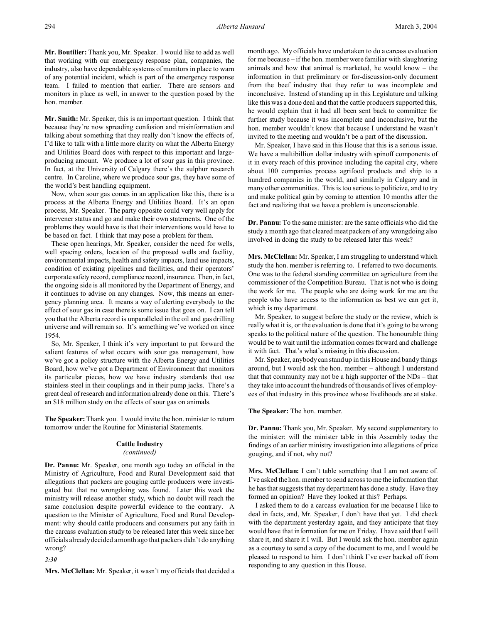**Mr. Boutilier:** Thank you, Mr. Speaker. I would like to add as well that working with our emergency response plan, companies, the industry, also have dependable systems of monitors in place to warn of any potential incident, which is part of the emergency response team. I failed to mention that earlier. There are sensors and monitors in place as well, in answer to the question posed by the hon. member.

**Mr. Smith:** Mr. Speaker, this is an important question. I think that because they're now spreading confusion and misinformation and talking about something that they really don't know the effects of, I'd like to talk with a little more clarity on what the Alberta Energy and Utilities Board does with respect to this important and largeproducing amount. We produce a lot of sour gas in this province. In fact, at the University of Calgary there's the sulphur research centre. In Caroline, where we produce sour gas, they have some of the world's best handling equipment.

Now, when sour gas comes in an application like this, there is a process at the Alberta Energy and Utilities Board. It's an open process, Mr. Speaker. The party opposite could very well apply for intervener status and go and make their own statements. One of the problems they would have is that their interventions would have to be based on fact. I think that may pose a problem for them.

These open hearings, Mr. Speaker, consider the need for wells, well spacing orders, location of the proposed wells and facility, environmental impacts, health and safety impacts, land use impacts, condition of existing pipelines and facilities, and their operators' corporate safety record, compliance record, insurance. Then, in fact, the ongoing side is all monitored by the Department of Energy, and it continues to advise on any changes. Now, this means an emergency planning area. It means a way of alerting everybody to the effect of sour gas in case there is some issue that goes on. I can tell you that the Alberta record is unparalleled in the oil and gas drilling universe and will remain so. It's something we've worked on since 1954.

So, Mr. Speaker, I think it's very important to put forward the salient features of what occurs with sour gas management, how we've got a policy structure with the Alberta Energy and Utilities Board, how we've got a Department of Environment that monitors its particular pieces, how we have industry standards that use stainless steel in their couplings and in their pump jacks. There's a great deal of research and information already done on this. There's an \$18 million study on the effects of sour gas on animals.

**The Speaker:**Thank you. I would invite the hon. minister to return tomorrow under the Routine for Ministerial Statements.

#### **Cattle Industry**

## *(continued)*

**Dr. Pannu:** Mr. Speaker, one month ago today an official in the Ministry of Agriculture, Food and Rural Development said that allegations that packers are gouging cattle producers were investigated but that no wrongdoing was found. Later this week the ministry will release another study, which no doubt will reach the same conclusion despite powerful evidence to the contrary. A question to the Minister of Agriculture, Food and Rural Development: why should cattle producers and consumers put any faith in the carcass evaluation study to be released later this week since her officials already decided a month ago that packers didn't do anything wrong?

*2:30*

**Mrs. McClellan:** Mr. Speaker, it wasn't my officials that decided a

month ago. My officials have undertaken to do a carcass evaluation for me because – if the hon. member were familiar with slaughtering animals and how that animal is marketed, he would know – the information in that preliminary or for-discussion-only document from the beef industry that they refer to was incomplete and inconclusive. Instead of standing up in this Legislature and talking like this was a done deal and that the cattle producers supported this, he would explain that it had all been sent back to committee for further study because it was incomplete and inconclusive, but the hon. member wouldn't know that because I understand he wasn't invited to the meeting and wouldn't be a part of the discussion.

Mr. Speaker, I have said in this House that this is a serious issue. We have a multibillion dollar industry with spinoff components of it in every reach of this province including the capital city, where about 100 companies process agrifood products and ship to a hundred companies in the world, and similarly in Calgary and in many other communities. This is too serious to politicize, and to try and make political gain by coming to attention 10 months after the fact and realizing that we have a problem is unconscionable.

**Dr. Pannu:** To the same minister: are the same officials who did the study a month ago that cleared meat packers of any wrongdoing also involved in doing the study to be released later this week?

**Mrs. McClellan:** Mr. Speaker, I am struggling to understand which study the hon. member is referring to. I referred to two documents. One was to the federal standing committee on agriculture from the commissioner of the Competition Bureau. That is not who is doing the work for me. The people who are doing work for me are the people who have access to the information as best we can get it, which is my department.

Mr. Speaker, to suggest before the study or the review, which is really what it is, or the evaluation is done that it's going to be wrong speaks to the political nature of the question. The honourable thing would be to wait until the information comes forward and challenge it with fact. That's what's missing in this discussion.

Mr. Speaker, anybody can stand up in this House and bandy things around, but I would ask the hon. member – although I understand that that community may not be a high supporter of the NDs – that they take into account the hundreds of thousands of lives of employees of that industry in this province whose livelihoods are at stake.

**The Speaker:** The hon. member.

**Dr. Pannu:** Thank you, Mr. Speaker. My second supplementary to the minister: will the minister table in this Assembly today the findings of an earlier ministry investigation into allegations of price gouging, and if not, why not?

**Mrs. McClellan:** I can't table something that I am not aware of. I've asked the hon. member to send across to me the information that he has that suggests that my department has done a study. Have they formed an opinion? Have they looked at this? Perhaps.

I asked them to do a carcass evaluation for me because I like to deal in facts, and, Mr. Speaker, I don't have that yet. I did check with the department yesterday again, and they anticipate that they would have that information for me on Friday. I have said that I will share it, and share it I will. But I would ask the hon. member again as a courtesy to send a copy of the document to me, and I would be pleased to respond to him. I don't think I've ever backed off from responding to any question in this House.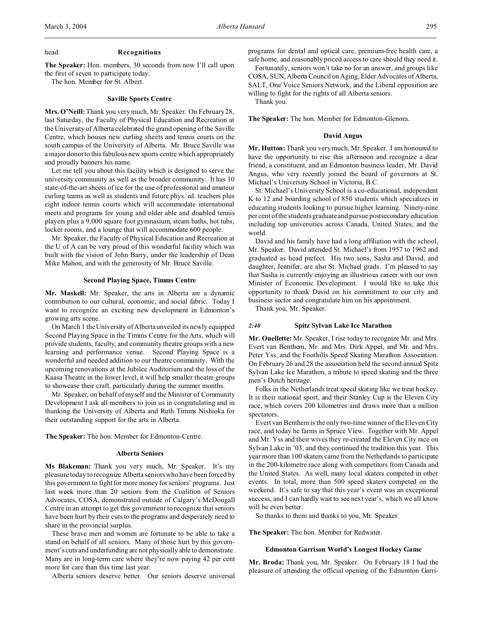## head: **Recognitions**

**The Speaker:** Hon. members, 30 seconds from now I'll call upon the first of seven to participate today.

The hon. Member for St. Albert.

## **Saville Sports Centre**

**Mrs. O'Neill:**Thank you very much, Mr. Speaker. On February 28, last Saturday, the Faculty of Physical Education and Recreation at the University of Alberta celebrated the grand opening of the Saville Centre, which houses new curling sheets and tennis courts on the south campus of the University of Alberta. Mr. Bruce Saville was a major donor to this fabulous new sports centre which appropriately and proudly banners his name.

Let me tell you about this facility which is designed to serve the university community as well as the broader community. It has 10 state-of-the-art sheets of ice for the use of professional and amateur curling teams as well as students and future phys. ed. teachers plus eight indoor tennis courts which will accommodate international meets and programs for young and older able and disabled tennis players plus a 9,000 square foot gymnasium, steam baths, hot tubs, locker rooms, and a lounge that will accommodate 600 people.

Mr. Speaker, the Faculty of Physical Education and Recreation at the U of A can be very proud of this wonderful facility which was built with the vision of John Barry, under the leadership of Dean Mike Mahon, and with the generosity of Mr. Bruce Saville.

# **Second Playing Space, Timms Centre**

**Mr. Maskell:** Mr. Speaker, the arts in Alberta are a dynamic contribution to our cultural, economic, and social fabric. Today I want to recognize an exciting new development in Edmonton's growing arts scene.

On March 1 the University of Alberta unveiled its newly equipped Second Playing Space in the Timms Centre for the Arts, which will provide students, faculty, and community theatre groups with a new learning and performance venue. Second Playing Space is a wonderful and needed addition to our theatre community. With the upcoming renovations at the Jubilee Auditorium and the loss of the Kaasa Theatre in the lower level, it will help smaller theatre groups to showcase their craft, particularly during the summer months.

Mr. Speaker, on behalf of myself and the Minister of Community Development I ask all members to join us in congratulating and in thanking the University of Alberta and Ruth Timms Nishioka for their outstanding support for the arts in Alberta.

**The Speaker:** The hon. Member for Edmonton-Centre.

#### **Alberta Seniors**

**Ms Blakeman:** Thank you very much, Mr. Speaker. It's my pleasure today to recognize Alberta seniors who have been forced by this government to fight for more money for seniors' programs. Just last week more than 20 seniors from the Coalition of Seniors Advocates, COSA, demonstrated outside of Calgary's McDougall Centre in an attempt to get this government to recognize that seniors have been hurt by their cuts to the programs and desperately need to share in the provincial surplus.

These brave men and women are fortunate to be able to take a stand on behalf of all seniors. Many of those hurt by this government's cuts and underfunding are not physically able to demonstrate. Many are in long-term care where they're now paying 42 per cent more for care than this time last year.

Alberta seniors deserve better. Our seniors deserve universal

programs for dental and optical care, premium-free health care, a safe home, and reasonably priced access to care should they need it.

Fortunately, seniors won't take no for an answer, and groups like COSA, SUN, Alberta Council on Aging, Elder Advocates of Alberta, SALT, One Voice Seniors Network, and the Liberal opposition are willing to fight for the rights of all Alberta seniors.

Thank you.

**The Speaker:** The hon. Member for Edmonton-Glenora.

#### **David Angus**

**Mr. Hutton:** Thank you very much, Mr. Speaker. I am honoured to have the opportunity to rise this afternoon and recognize a dear friend, a constituent, and an Edmonton business leader, Mr. David Angus, who very recently joined the board of governors at St. Michael's University School in Victoria, B.C.

St. Michael's University School is a co-educational, independent K to 12 and boarding school of 850 students which specializes in educating students looking to pursue higher learning. Ninety-nine per cent of the students graduate and pursue postsecondary education including top universities across Canada, United States, and the world.

David and his family have had a long affiliation with the school, Mr. Speaker. David attended St. Michael's from 1957 to 1962 and graduated as head prefect. His two sons, Sasha and David, and daughter, Jennifer, are also St. Michael grads. I'm pleased to say that Sasha is currently enjoying an illustrious career with our own Minister of Economic Development. I would like to take this opportunity to thank David on his commitment to our city and business sector and congratulate him on his appointment.

Thank you, Mr. Speaker.

#### *2:40* **Spitz Sylvan Lake Ice Marathon**

**Mr. Ouellette:** Mr. Speaker, I rise today to recognize Mr. and Mrs. Evert van Benthem, Mr. and Mrs. Dirk Appel, and Mr. and Mrs. Peter Yss, and the Foothills Speed Skating Marathon Association. On February 26 and 28 the association held the second annual Spitz Sylvan Lake Ice Marathon, a tribute to speed skating and the three men's Dutch heritage.

Folks in the Netherlands treat speed skating like we treat hockey. It is their national sport, and their Stanley Cup is the Eleven City race, which covers 200 kilometres and draws more than a million spectators.

Evert van Benthem is the only two-time winner of the Eleven City race, and today he farms in Spruce View. Together with Mr. Appel and Mr. Yss and their wives they re-created the Eleven City race on Sylvan Lake in '03, and they continued the tradition this year. This year more than 100 skaters came from the Netherlands to participate in the 200-kilometre race along with competitors from Canada and the United States. As well, many local skaters competed in other events. In total, more than 500 speed skaters competed on the weekend. It's safe to say that this year's event was an exceptional success, and I can hardly wait to see next year's, which we all know will be even better.

So thanks to them and thanks to you, Mr. Speaker.

**The Speaker:** The hon. Member for Redwater.

## **Edmonton Garrison World's Longest Hockey Game**

**Mr. Broda:** Thank you, Mr. Speaker. On February 18 I had the pleasure of attending the official opening of the Edmonton Garri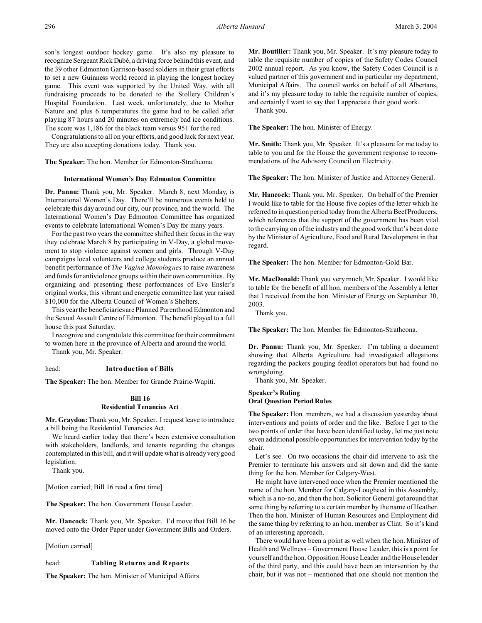son's longest outdoor hockey game. It's also my pleasure to recognize Sergeant Rick Dubé, a driving force behind this event, and the 39 other Edmonton Garrison-based soldiers in their great efforts to set a new Guinness world record in playing the longest hockey game. This event was supported by the United Way, with all fundraising proceeds to be donated to the Stollery Children's Hospital Foundation. Last week, unfortunately, due to Mother Nature and plus 6 temperatures the game had to be called after playing 87 hours and 20 minutes on extremely bad ice conditions. The score was 1,186 for the black team versus 951 for the red.

Congratulations to all on your efforts, and good luck for next year. They are also accepting donations today. Thank you.

**The Speaker:** The hon. Member for Edmonton-Strathcona.

## **International Women's Day Edmonton Committee**

**Dr. Pannu:** Thank you, Mr. Speaker. March 8, next Monday, is International Women's Day. There'll be numerous events held to celebrate this day around our city, our province, and the world. The International Women's Day Edmonton Committee has organized events to celebrate International Women's Day for many years.

For the past two years the committee shifted their focus in the way they celebrate March 8 by participating in V-Day, a global movement to stop violence against women and girls. Through V-Day campaigns local volunteers and college students produce an annual benefit performance of *The Vagina Monologues* to raise awareness and funds for antiviolence groups within their own communities. By organizing and presenting these performances of Eve Ensler's original works, this vibrant and energetic committee last year raised \$10,000 for the Alberta Council of Women's Shelters.

This year the beneficiaries are Planned Parenthood Edmonton and the Sexual Assault Centre of Edmonton. The benefit played to a full house this past Saturday.

I recognize and congratulate this committee for their commitment to women here in the province of Alberta and around the world.

Thank you, Mr. Speaker.

## head: **Introduction of Bills**

**The Speaker:** The hon. Member for Grande Prairie-Wapiti.

# **Bill 16 Residential Tenancies Act**

**Mr. Graydon:** Thank you, Mr. Speaker. I request leave to introduce a bill being the Residential Tenancies Act.

We heard earlier today that there's been extensive consultation with stakeholders, landlords, and tenants regarding the changes contemplated in this bill, and it will update what is already very good legislation.

Thank you.

[Motion carried; Bill 16 read a first time]

**The Speaker:** The hon. Government House Leader.

**Mr. Hancock:** Thank you, Mr. Speaker. I'd move that Bill 16 be moved onto the Order Paper under Government Bills and Orders.

[Motion carried]

## head: **Tabling Returns and Reports**

**The Speaker:** The hon. Minister of Municipal Affairs.

**Mr. Boutilier:** Thank you, Mr. Speaker. It's my pleasure today to table the requisite number of copies of the Safety Codes Council 2002 annual report. As you know, the Safety Codes Council is a valued partner of this government and in particular my department, Municipal Affairs. The council works on behalf of all Albertans, and it's my pleasure today to table the requisite number of copies, and certainly I want to say that I appreciate their good work.

Thank you.

**The Speaker:** The hon. Minister of Energy.

**Mr. Smith:** Thank you, Mr. Speaker. It's a pleasure for me today to table to you and for the House the government response to recommendations of the Advisory Council on Electricity.

**The Speaker:** The hon. Minister of Justice and Attorney General.

**Mr. Hancock:** Thank you, Mr. Speaker. On behalf of the Premier I would like to table for the House five copies of the letter which he referred to in question period today from the Alberta Beef Producers, which references that the support of the government has been vital to the carrying on of the industry and the good work that's been done by the Minister of Agriculture, Food and Rural Development in that regard.

**The Speaker:** The hon. Member for Edmonton-Gold Bar.

**Mr. MacDonald:** Thank you very much, Mr. Speaker. I would like to table for the benefit of all hon. members of the Assembly a letter that I received from the hon. Minister of Energy on September 30, 2003.

Thank you.

**The Speaker:** The hon. Member for Edmonton-Strathcona.

**Dr. Pannu:** Thank you, Mr. Speaker. I'm tabling a document showing that Alberta Agriculture had investigated allegations regarding the packers gouging feedlot operators but had found no wrongdoing.

Thank you, Mr. Speaker.

# **Speaker's Ruling Oral Question Period Rules**

**The Speaker:** Hon. members, we had a discussion yesterday about interventions and points of order and the like. Before I get to the two points of order that have been identified today, let me just note seven additional possible opportunities for intervention today by the chair.

Let's see. On two occasions the chair did intervene to ask the Premier to terminate his answers and sit down and did the same thing for the hon. Member for Calgary-West.

He might have intervened once when the Premier mentioned the name of the hon. Member for Calgary-Lougheed in this Assembly, which is a no-no, and then the hon. Solicitor General got around that same thing by referring to a certain member by the name of Heather. Then the hon. Minister of Human Resources and Employment did the same thing by referring to an hon. member as Clint. So it's kind of an interesting approach.

There would have been a point as well when the hon. Minister of Health and Wellness – Government House Leader, this is a point for yourself and the hon. Opposition House Leader and the House leader of the third party, and this could have been an intervention by the chair, but it was not – mentioned that one should not mention the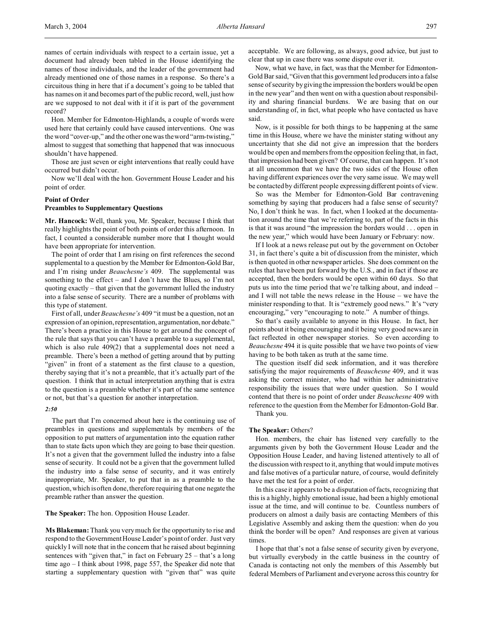names of certain individuals with respect to a certain issue, yet a document had already been tabled in the House identifying the names of those individuals, and the leader of the government had already mentioned one of those names in a response. So there's a circuitous thing in here that if a document's going to be tabled that has names on it and becomes part of the public record, well, just how are we supposed to not deal with it if it is part of the government record?

Hon. Member for Edmonton-Highlands, a couple of words were used here that certainly could have caused interventions. One was the word "cover-up," and the other one was the word "arm-twisting," almost to suggest that something that happened that was innocuous shouldn't have happened.

Those are just seven or eight interventions that really could have occurred but didn't occur.

Now we'll deal with the hon. Government House Leader and his point of order.

# **Point of Order**

# **Preambles to Supplementary Questions**

**Mr. Hancock:** Well, thank you, Mr. Speaker, because I think that really highlights the point of both points of order this afternoon. In fact, I counted a considerable number more that I thought would have been appropriate for intervention.

The point of order that I am rising on first references the second supplemental to a question by the Member for Edmonton-Gold Bar, and I'm rising under *Beauchesne's* 409. The supplemental was something to the effect – and I don't have the Blues, so I'm not quoting exactly – that given that the government lulled the industry into a false sense of security. There are a number of problems with this type of statement.

First of all, under *Beauchesne's* 409 "it must be a question, not an expression of an opinion, representation, argumentation, nor debate." There's been a practice in this House to get around the concept of the rule that says that you can't have a preamble to a supplemental, which is also rule 409(2) that a supplemental does not need a preamble. There's been a method of getting around that by putting "given" in front of a statement as the first clause to a question, thereby saying that it's not a preamble, that it's actually part of the question. I think that in actual interpretation anything that is extra to the question is a preamble whether it's part of the same sentence or not, but that's a question for another interpretation.

## *2:50*

The part that I'm concerned about here is the continuing use of preambles in questions and supplementals by members of the opposition to put matters of argumentation into the equation rather than to state facts upon which they are going to base their question. It's not a given that the government lulled the industry into a false sense of security. It could not be a given that the government lulled the industry into a false sense of security, and it was entirely inappropriate, Mr. Speaker, to put that in as a preamble to the question, which is often done, therefore requiring that one negate the preamble rather than answer the question.

**The Speaker:** The hon. Opposition House Leader.

**Ms Blakeman:** Thank you very much for the opportunity to rise and respond to the Government House Leader's point of order. Just very quickly I will note that in the concern that he raised about beginning sentences with "given that," in fact on February 25 – that's a long time ago – I think about 1998, page 557, the Speaker did note that starting a supplementary question with "given that" was quite acceptable. We are following, as always, good advice, but just to clear that up in case there was some dispute over it.

Now, what we have, in fact, was that the Member for Edmonton-Gold Bar said, "Given that this government led producers into a false sense of security by giving the impression the borders would be open in the new year" and then went on with a question about responsibility and sharing financial burdens. We are basing that on our understanding of, in fact, what people who have contacted us have said.

Now, is it possible for both things to be happening at the same time in this House, where we have the minister stating without any uncertainty that she did not give an impression that the borders would be open and members from the opposition feeling that, in fact, that impression had been given? Of course, that can happen. It's not at all uncommon that we have the two sides of the House often having different experiences over the very same issue. We may well be contacted by different people expressing different points of view.

So was the Member for Edmonton-Gold Bar contravening something by saying that producers had a false sense of security? No, I don't think he was. In fact, when I looked at the documentation around the time that we're referring to, part of the facts in this is that it was around "the impression the borders would . . . open in the new year," which would have been January or February: now.

If I look at a news release put out by the government on October 31, in fact there's quite a bit of discussion from the minister, which is then quoted in other newspaper articles. She does comment on the rules that have been put forward by the U.S., and in fact if those are accepted, then the borders would be open within 60 days. So that puts us into the time period that we're talking about, and indeed – and I will not table the news release in the House – we have the minister responding to that. It is "extremely good news." It's "very encouraging," very "encouraging to note." A number of things.

So that's easily available to anyone in this House. In fact, her points about it being encouraging and it being very good news are in fact reflected in other newspaper stories. So even according to *Beauchesne* 494 it is quite possible that we have two points of view having to be both taken as truth at the same time.

The question itself did seek information, and it was therefore satisfying the major requirements of *Beauchesne* 409, and it was asking the correct minister, who had within her administrative responsibility the issues that were under question. So I would contend that there is no point of order under *Beauchesne* 409 with reference to the question from the Member for Edmonton-Gold Bar. Thank you.

#### **The Speaker:** Others?

Hon. members, the chair has listened very carefully to the arguments given by both the Government House Leader and the Opposition House Leader, and having listened attentively to all of the discussion with respect to it, anything that would impute motives and false motives of a particular nature, of course, would definitely have met the test for a point of order.

In this case it appears to be a disputation of facts, recognizing that this is a highly, highly emotional issue, had been a highly emotional issue at the time, and will continue to be. Countless numbers of producers on almost a daily basis are contacting Members of this Legislative Assembly and asking them the question: when do you think the border will be open? And responses are given at various times.

I hope that that's not a false sense of security given by everyone, but virtually everybody in the cattle business in the country of Canada is contacting not only the members of this Assembly but federal Members of Parliament and everyone across this country for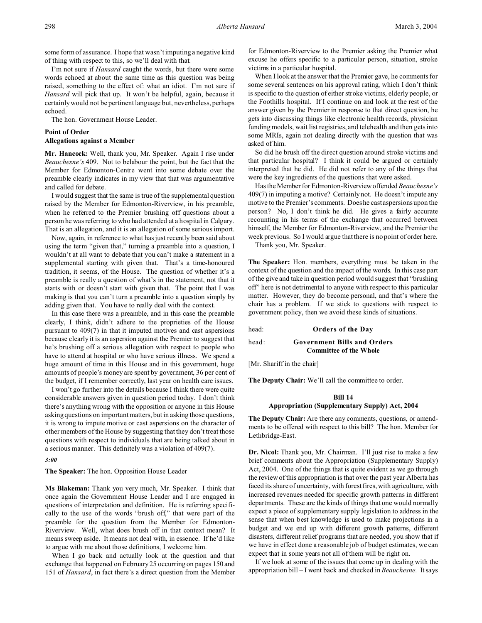I'm not sure if *Hansard* caught the words, but there were some words echoed at about the same time as this question was being raised, something to the effect of: what an idiot. I'm not sure if *Hansard* will pick that up. It won't be helpful, again, because it certainly would not be pertinent language but, nevertheless, perhaps echoed.

The hon. Government House Leader.

# **Point of Order**

# **Allegations against a Member**

**Mr. Hancock:** Well, thank you, Mr. Speaker. Again I rise under *Beauchesne's* 409. Not to belabour the point, but the fact that the Member for Edmonton-Centre went into some debate over the preamble clearly indicates in my view that that was argumentative and called for debate.

I would suggest that the same is true of the supplemental question raised by the Member for Edmonton-Riverview, in his preamble, when he referred to the Premier brushing off questions about a person he was referring to who had attended at a hospital in Calgary. That is an allegation, and it is an allegation of some serious import.

Now, again, in reference to what has just recently been said about using the term "given that," turning a preamble into a question, I wouldn't at all want to debate that you can't make a statement in a supplemental starting with given that. That's a time-honoured tradition, it seems, of the House. The question of whether it's a preamble is really a question of what's in the statement, not that it starts with or doesn't start with given that. The point that I was making is that you can't turn a preamble into a question simply by adding given that. You have to really deal with the context.

In this case there was a preamble, and in this case the preamble clearly, I think, didn't adhere to the proprieties of the House pursuant to 409(7) in that it imputed motives and cast aspersions because clearly it is an aspersion against the Premier to suggest that he's brushing off a serious allegation with respect to people who have to attend at hospital or who have serious illness. We spend a huge amount of time in this House and in this government, huge amounts of people's money are spent by government, 36 per cent of the budget, if I remember correctly, last year on health care issues.

I won't go further into the details because I think there were quite considerable answers given in question period today. I don't think there's anything wrong with the opposition or anyone in this House asking questions on important matters, but in asking those questions, it is wrong to impute motive or cast aspersions on the character of other members of the House by suggesting that they don't treat those questions with respect to individuals that are being talked about in a serious manner. This definitely was a violation of 409(7).

*3:00*

# **The Speaker:** The hon. Opposition House Leader

**Ms Blakeman:** Thank you very much, Mr. Speaker. I think that once again the Government House Leader and I are engaged in questions of interpretation and definition. He is referring specifically to the use of the words "brush off," that were part of the preamble for the question from the Member for Edmonton-Riverview. Well, what does brush off in that context mean? It means sweep aside. It means not deal with, in essence. If he'd like to argue with me about those definitions, I welcome him.

When I go back and actually look at the question and that exchange that happened on February 25 occurring on pages 150 and 151 of *Hansard*, in fact there's a direct question from the Member for Edmonton-Riverview to the Premier asking the Premier what excuse he offers specific to a particular person, situation, stroke victims in a particular hospital.

When I look at the answer that the Premier gave, he comments for some several sentences on his approval rating, which I don't think is specific to the question of either stroke victims, elderly people, or the Foothills hospital. If I continue on and look at the rest of the answer given by the Premier in response to that direct question, he gets into discussing things like electronic health records, physician funding models, wait list registries, and telehealth and then gets into some MRIs, again not dealing directly with the question that was asked of him.

So did he brush off the direct question around stroke victims and that particular hospital? I think it could be argued or certainly interpreted that he did. He did not refer to any of the things that were the key ingredients of the questions that were asked.

Has the Member for Edmonton-Riverview offended *Beauchesne's* 409(7) in imputing a motive? Certainly not. He doesn't impute any motive to the Premier's comments. Does he cast aspersions upon the person? No, I don't think he did. He gives a fairly accurate recounting in his terms of the exchange that occurred between himself, the Member for Edmonton-Riverview, and the Premier the week previous. So I would argue that there is no point of order here.

Thank you, Mr. Speaker.

**The Speaker:** Hon. members, everything must be taken in the context of the question and the impact of the words. In this case part of the give and take in question period would suggest that "brushing off" here is not detrimental to anyone with respect to this particular matter. However, they do become personal, and that's where the chair has a problem. If we stick to questions with respect to government policy, then we avoid these kinds of situations.

head: **Orders of the Day**

head: **Government Bills and Orders**

**Committee of the Whole**

[Mr. Shariff in the chair]

**The Deputy Chair:** We'll call the committee to order.

# **Bill 14 Appropriation (Supplementary Supply) Act, 2004**

**The Deputy Chair:** Are there any comments, questions, or amendments to be offered with respect to this bill? The hon. Member for Lethbridge-East.

**Dr. Nicol:** Thank you, Mr. Chairman. I'll just rise to make a few brief comments about the Appropriation (Supplementary Supply) Act, 2004. One of the things that is quite evident as we go through the review of this appropriation is that over the past year Alberta has faced its share of uncertainty, with forest fires, with agriculture, with increased revenues needed for specific growth patterns in different departments. These are the kinds of things that one would normally expect a piece of supplementary supply legislation to address in the sense that when best knowledge is used to make projections in a budget and we end up with different growth patterns, different disasters, different relief programs that are needed, you show that if we have in effect done a reasonable job of budget estimates, we can expect that in some years not all of them will be right on.

If we look at some of the issues that come up in dealing with the appropriation bill – I went back and checked in *Beauchesne.* It says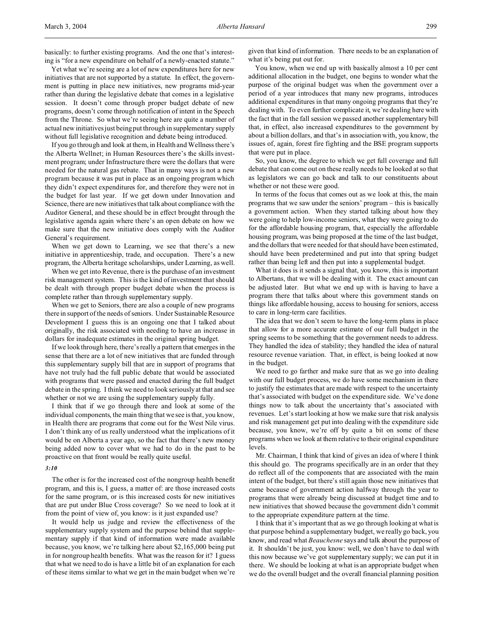basically: to further existing programs. And the one that's interesting is "for a new expenditure on behalf of a newly-enacted statute."

Yet what we're seeing are a lot of new expenditures here for new initiatives that are not supported by a statute. In effect, the government is putting in place new initiatives, new programs mid-year rather than during the legislative debate that comes in a legislative session. It doesn't come through proper budget debate of new programs, doesn't come through notification of intent in the Speech from the Throne. So what we're seeing here are quite a number of actual new initiatives just being put through in supplementary supply without full legislative recognition and debate being introduced.

If you go through and look at them, in Health and Wellness there's the Alberta Wellnet; in Human Resources there's the skills investment program; under Infrastructure there were the dollars that were needed for the natural gas rebate. That in many ways is not a new program because it was put in place as an ongoing program which they didn't expect expenditures for, and therefore they were not in the budget for last year. If we get down under Innovation and Science, there are new initiatives that talk about compliance with the Auditor General, and these should be in effect brought through the legislative agenda again where there's an open debate on how we make sure that the new initiative does comply with the Auditor General's requirement.

When we get down to Learning, we see that there's a new initiative in apprenticeship, trade, and occupation. There's a new program, the Alberta heritage scholarships, under Learning, as well.

When we get into Revenue, there is the purchase of an investment risk management system. This is the kind of investment that should be dealt with through proper budget debate when the process is complete rather than through supplementary supply.

When we get to Seniors, there are also a couple of new programs there in support of the needs of seniors. Under Sustainable Resource Development I guess this is an ongoing one that I talked about originally, the risk associated with needing to have an increase in dollars for inadequate estimates in the original spring budget.

If we look through here, there's really a pattern that emerges in the sense that there are a lot of new initiatives that are funded through this supplementary supply bill that are in support of programs that have not truly had the full public debate that would be associated with programs that were passed and enacted during the full budget debate in the spring. I think we need to look seriously at that and see whether or not we are using the supplementary supply fully.

I think that if we go through there and look at some of the individual components, the main thing that we see is that, you know, in Health there are programs that come out for the West Nile virus. I don't think any of us really understood what the implications of it would be on Alberta a year ago, so the fact that there's new money being added now to cover what we had to do in the past to be proactive on that front would be really quite useful.

#### *3:10*

The other is for the increased cost of the nongroup health benefit program, and this is, I guess, a matter of: are those increased costs for the same program, or is this increased costs for new initiatives that are put under Blue Cross coverage? So we need to look at it from the point of view of, you know: is it just expanded use?

It would help us judge and review the effectiveness of the supplementary supply system and the purpose behind that supplementary supply if that kind of information were made available because, you know, we're talking here about \$2,165,000 being put in for nongroup health benefits. What was the reason for it? I guess that what we need to do is have a little bit of an explanation for each of these items similar to what we get in the main budget when we're

given that kind of information. There needs to be an explanation of what it's being put out for.

You know, when we end up with basically almost a 10 per cent additional allocation in the budget, one begins to wonder what the purpose of the original budget was when the government over a period of a year introduces that many new programs, introduces additional expenditures in that many ongoing programs that they're dealing with. To even further complicate it, we're dealing here with the fact that in the fall session we passed another supplementary bill that, in effect, also increased expenditures to the government by about a billion dollars, and that's in association with, you know, the issues of, again, forest fire fighting and the BSE program supports that were put in place.

So, you know, the degree to which we get full coverage and full debate that can come out on these really needs to be looked at so that as legislators we can go back and talk to our constituents about whether or not these were good.

In terms of the focus that comes out as we look at this, the main programs that we saw under the seniors' program – this is basically a government action. When they started talking about how they were going to help low-income seniors, what they were going to do for the affordable housing program, that, especially the affordable housing program, was being proposed at the time of the last budget, and the dollars that were needed for that should have been estimated, should have been predetermined and put into that spring budget rather than being left and then put into a supplemental budget.

What it does is it sends a signal that, you know, this is important to Albertans, that we will be dealing with it. The exact amount can be adjusted later. But what we end up with is having to have a program there that talks about where this government stands on things like affordable housing, access to housing for seniors, access to care in long-term care facilities.

The idea that we don't seem to have the long-term plans in place that allow for a more accurate estimate of our full budget in the spring seems to be something that the government needs to address. They handled the idea of stability; they handled the idea of natural resource revenue variation. That, in effect, is being looked at now in the budget.

We need to go farther and make sure that as we go into dealing with our full budget process, we do have some mechanism in there to justify the estimates that are made with respect to the uncertainty that's associated with budget on the expenditure side. We've done things now to talk about the uncertainty that's associated with revenues. Let's start looking at how we make sure that risk analysis and risk management get put into dealing with the expenditure side because, you know, we're off by quite a bit on some of these programs when we look at them relative to their original expenditure levels.

Mr. Chairman, I think that kind of gives an idea of where I think this should go. The programs specifically are in an order that they do reflect all of the components that are associated with the main intent of the budget, but there's still again those new initiatives that came because of government action halfway through the year to programs that were already being discussed at budget time and to new initiatives that showed because the government didn't commit to the appropriate expenditure pattern at the time.

I think that it's important that as we go through looking at what is that purpose behind a supplementary budget, we really go back, you know, and read what *Beauchesne* says and talk about the purpose of it. It shouldn't be just, you know: well, we don't have to deal with this now because we've got supplementary supply; we can put it in there. We should be looking at what is an appropriate budget when we do the overall budget and the overall financial planning position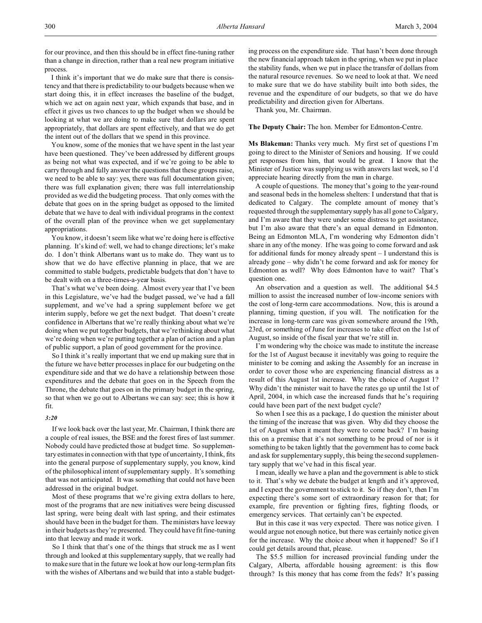for our province, and then this should be in effect fine-tuning rather than a change in direction, rather than a real new program initiative process.

I think it's important that we do make sure that there is consistency and that there is predictability to our budgets because when we start doing this, it in effect increases the baseline of the budget, which we act on again next year, which expands that base, and in effect it gives us two chances to up the budget when we should be looking at what we are doing to make sure that dollars are spent appropriately, that dollars are spent effectively, and that we do get the intent out of the dollars that we spend in this province.

You know, some of the monies that we have spent in the last year have been questioned. They've been addressed by different groups as being not what was expected, and if we're going to be able to carry through and fully answer the questions that these groups raise, we need to be able to say: yes, there was full documentation given; there was full explanation given; there was full interrelationship provided as we did the budgeting process. That only comes with the debate that goes on in the spring budget as opposed to the limited debate that we have to deal with individual programs in the context of the overall plan of the province when we get supplementary appropriations.

You know, it doesn't seem like what we're doing here is effective planning. It's kind of: well, we had to change directions; let's make do. I don't think Albertans want us to make do. They want us to show that we do have effective planning in place, that we are committed to stable budgets, predictable budgets that don't have to be dealt with on a three-times-a-year basis.

That's what we've been doing. Almost every year that I've been in this Legislature, we've had the budget passed, we've had a fall supplement, and we've had a spring supplement before we get interim supply, before we get the next budget. That doesn't create confidence in Albertans that we're really thinking about what we're doing when we put together budgets, that we're thinking about what we're doing when we're putting together a plan of action and a plan of public support, a plan of good government for the province.

So I think it's really important that we end up making sure that in the future we have better processes in place for our budgeting on the expenditure side and that we do have a relationship between those expenditures and the debate that goes on in the Speech from the Throne, the debate that goes on in the primary budget in the spring, so that when we go out to Albertans we can say: see; this is how it fit.

#### *3:20*

If we look back over the last year, Mr. Chairman, I think there are a couple of real issues, the BSE and the forest fires of last summer. Nobody could have predicted those at budget time. So supplementary estimates in connection with that type of uncertainty, I think, fits into the general purpose of supplementary supply, you know, kind of the philosophical intent of supplementary supply. It's something that was not anticipated. It was something that could not have been addressed in the original budget.

Most of these programs that we're giving extra dollars to here, most of the programs that are new initiatives were being discussed last spring, were being dealt with last spring, and their estimates should have been in the budget for them. The ministers have leeway in their budgets as they're presented. They could have fit fine-tuning into that leeway and made it work.

So I think that that's one of the things that struck me as I went through and looked at this supplementary supply, that we really had to make sure that in the future we look at how our long-term plan fits with the wishes of Albertans and we build that into a stable budget-

ing process on the expenditure side. That hasn't been done through the new financial approach taken in the spring, when we put in place the stability funds, when we put in place the transfer of dollars from the natural resource revenues. So we need to look at that. We need to make sure that we do have stability built into both sides, the revenue and the expenditure of our budgets, so that we do have predictability and direction given for Albertans.

Thank you, Mr. Chairman.

# **The Deputy Chair:** The hon. Member for Edmonton-Centre.

**Ms Blakeman:** Thanks very much. My first set of questions I'm going to direct to the Minister of Seniors and housing. If we could get responses from him, that would be great. I know that the Minister of Justice was supplying us with answers last week, so I'd appreciate hearing directly from the man in charge.

A couple of questions. The money that's going to the year-round and seasonal beds in the homeless shelters: I understand that that is dedicated to Calgary. The complete amount of money that's requested through the supplementary supply has all gone to Calgary, and I'm aware that they were under some distress to get assistance, but I'm also aware that there's an equal demand in Edmonton. Being an Edmonton MLA, I'm wondering why Edmonton didn't share in any of the money. If he was going to come forward and ask for additional funds for money already spent – I understand this is already gone – why didn't he come forward and ask for money for Edmonton as well? Why does Edmonton have to wait? That's question one.

An observation and a question as well. The additional \$4.5 million to assist the increased number of low-income seniors with the cost of long-term care accommodations. Now, this is around a planning, timing question, if you will. The notification for the increase in long-term care was given somewhere around the 19th, 23rd, or something of June for increases to take effect on the 1st of August, so inside of the fiscal year that we're still in.

I'm wondering why the choice was made to institute the increase for the 1st of August because it inevitably was going to require the minister to be coming and asking the Assembly for an increase in order to cover those who are experiencing financial distress as a result of this August 1st increase. Why the choice of August 1? Why didn't the minister wait to have the rates go up until the 1st of April, 2004, in which case the increased funds that he's requiring could have been part of the next budget cycle?

So when I see this as a package, I do question the minister about the timing of the increase that was given. Why did they choose the 1st of August when it meant they were to come back? I'm basing this on a premise that it's not something to be proud of nor is it something to be taken lightly that the government has to come back and ask for supplementary supply, this being the second supplementary supply that we've had in this fiscal year.

I mean, ideally we have a plan and the government is able to stick to it. That's why we debate the budget at length and it's approved, and I expect the government to stick to it. So if they don't, then I'm expecting there's some sort of extraordinary reason for that; for example, fire prevention or fighting fires, fighting floods, or emergency services. That certainly can't be expected.

But in this case it was very expected. There was notice given. I would argue not enough notice, but there was certainly notice given for the increase. Why the choice about when it happened? So if I could get details around that, please.

The \$5.5 million for increased provincial funding under the Calgary, Alberta, affordable housing agreement: is this flow through? Is this money that has come from the feds? It's passing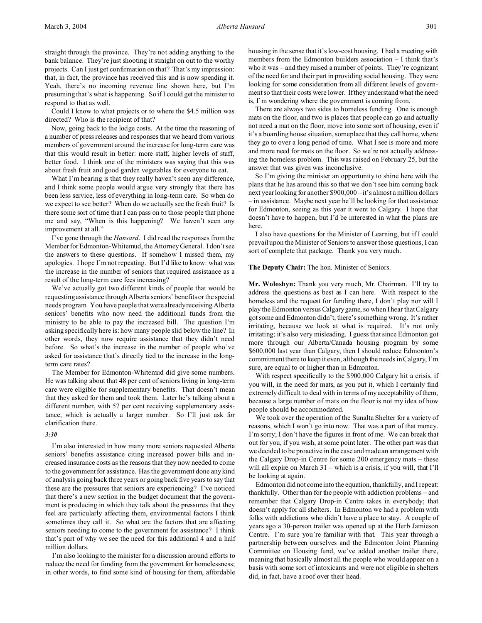Could I know to what projects or to where the \$4.5 million was directed? Who is the recipient of that?

Now, going back to the lodge costs. At the time the reasoning of a number of press releases and responses that we heard from various members of government around the increase for long-term care was that this would result in better: more staff, higher levels of staff, better food. I think one of the ministers was saying that this was about fresh fruit and good garden vegetables for everyone to eat.

What I'm hearing is that they really haven't seen any difference, and I think some people would argue very strongly that there has been less service, less of everything in long-term care. So when do we expect to see better? When do we actually see the fresh fruit? Is there some sort of time that I can pass on to those people that phone me and say, "When is this happening? We haven't seen any improvement at all."

I've gone through the *Hansard*. I did read the responses from the Member for Edmonton-Whitemud, the Attorney General. I don't see the answers to these questions. If somehow I missed them, my apologies. I hope I'm not repeating. But I'd like to know: what was the increase in the number of seniors that required assistance as a result of the long-term care fees increasing?

We've actually got two different kinds of people that would be requesting assistance through Alberta seniors' benefits or the special needs program. You have people that were already receiving Alberta seniors' benefits who now need the additional funds from the ministry to be able to pay the increased bill. The question I'm asking specifically here is: how many people slid below the line? In other words, they now require assistance that they didn't need before. So what's the increase in the number of people who've asked for assistance that's directly tied to the increase in the longterm care rates?

The Member for Edmonton-Whitemud did give some numbers. He was talking about that 48 per cent of seniors living in long-term care were eligible for supplementary benefits. That doesn't mean that they asked for them and took them. Later he's talking about a different number, with 57 per cent receiving supplementary assistance, which is actually a larger number. So I'll just ask for clarification there.

# *3:30*

I'm also interested in how many more seniors requested Alberta seniors' benefits assistance citing increased power bills and increased insurance costs as the reasons that they now needed to come to the government for assistance. Has the government done any kind of analysis going back three years or going back five years to say that these are the pressures that seniors are experiencing? I've noticed that there's a new section in the budget document that the government is producing in which they talk about the pressures that they feel are particularly affecting them, environmental factors I think sometimes they call it. So what are the factors that are affecting seniors needing to come to the government for assistance? I think that's part of why we see the need for this additional 4 and a half million dollars.

I'm also looking to the minister for a discussion around efforts to reduce the need for funding from the government for homelessness; in other words, to find some kind of housing for them, affordable

housing in the sense that it's low-cost housing. I had a meeting with members from the Edmonton builders association – I think that's who it was – and they raised a number of points. They're cognizant of the need for and their part in providing social housing. They were looking for some consideration from all different levels of government so that their costs were lower. If they understand what the need is, I'm wondering where the government is coming from.

There are always two sides to homeless funding. One is enough mats on the floor, and two is places that people can go and actually not need a mat on the floor, move into some sort of housing, even if it's a boarding house situation, someplace that they call home, where they go to over a long period of time. What I see is more and more and more need for mats on the floor. So we're not actually addressing the homeless problem. This was raised on February 25, but the answer that was given was inconclusive.

So I'm giving the minister an opportunity to shine here with the plans that he has around this so that we don't see him coming back next year looking for another \$900,000 – it's almost a million dollars – in assistance. Maybe next year he'll be looking for that assistance for Edmonton, seeing as this year it went to Calgary. I hope that doesn't have to happen, but I'd be interested in what the plans are here.

I also have questions for the Minister of Learning, but if I could prevail upon the Minister of Seniors to answer those questions, I can sort of complete that package. Thank you very much.

## **The Deputy Chair:** The hon. Minister of Seniors.

**Mr. Woloshyn:** Thank you very much, Mr. Chairman. I'll try to address the questions as best as I can here. With respect to the homeless and the request for funding there, I don't play nor will I play the Edmonton versus Calgary game, so when I hear that Calgary got some and Edmonton didn't, there's something wrong. It's rather irritating, because we look at what is required. It's not only irritating; it's also very misleading. I guess that since Edmonton got more through our Alberta/Canada housing program by some \$600,000 last year than Calgary, then I should reduce Edmonton's commitment there to keep it even, although the needs in Calgary, I'm sure, are equal to or higher than in Edmonton.

With respect specifically to the \$900,000 Calgary hit a crisis, if you will, in the need for mats, as you put it, which I certainly find extremely difficult to deal with in terms of my acceptability of them, because a large number of mats on the floor is not my idea of how people should be accommodated.

We took over the operation of the Sunalta Shelter for a variety of reasons, which I won't go into now. That was a part of that money. I'm sorry; I don't have the figures in front of me. We can break that out for you, if you wish, at some point later. The other part was that we decided to be proactive in the case and made an arrangement with the Calgary Drop-in Centre for some 200 emergency mats – these will all expire on March 31 – which is a crisis, if you will, that I'll be looking at again.

Edmonton did not come into the equation, thankfully, and I repeat: thankfully. Other than for the people with addiction problems – and remember that Calgary Drop-in Centre takes in everybody; that doesn't apply for all shelters. In Edmonton we had a problem with folks with addictions who didn't have a place to stay. A couple of years ago a 30-person trailer was opened up at the Herb Jamieson Centre. I'm sure you're familiar with that. This year through a partnership between ourselves and the Edmonton Joint Planning Committee on Housing fund, we've added another trailer there, meaning that basically almost all the people who would appear on a basis with some sort of intoxicants and were not eligible in shelters did, in fact, have a roof over their head.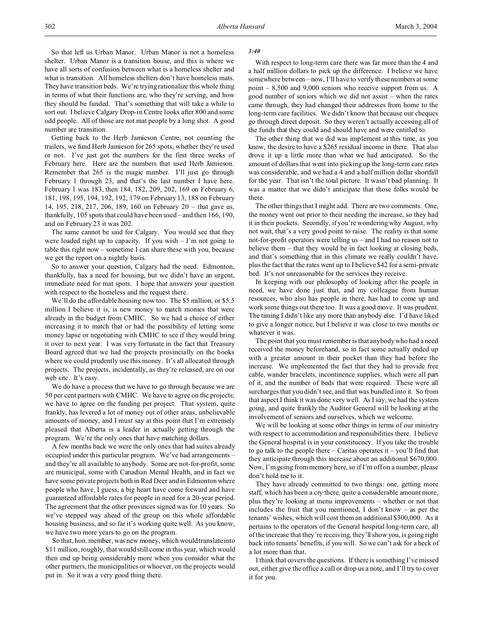So that left us Urban Manor. Urban Manor is not a homeless shelter. Urban Manor is a transition house, and this is where we have all sorts of confusion between what is a homeless shelter and what is transition. All homeless shelters don't have homeless mats. They have transition beds. We're trying rationalize this whole thing in terms of what their functions are, who they're serving, and how they should be funded. That's something that will take a while to sort out. I believe Calgary Drop-in Centre looks after 800 and some odd people. All of those are not mat people by a long shot. A good number are transition.

Getting back to the Herb Jamieson Centre, not counting the trailers, we fund Herb Jamieson for 265 spots, whether they're used or not. I've just got the numbers for the first three weeks of February here. Here are the numbers that used Herb Jamieson. Remember that 265 is the magic number. I'll just go through February 1 through 23, and that's the last number I have here. February 1 was 183, then 184, 182, 209, 202, 169 on February 6, 181, 198, 195, 194, 192, 192, 179 on February 13, 188 on February 14, 195, 218, 217, 206, 189, 160 on February 20 – that gave us, thankfully, 105 spots that could have been used – and then 166, 190, and on February 23 it was 202.

The same cannot be said for Calgary. You would see that they were loaded right up to capacity. If you wish  $-1$ 'm not going to table this right now – sometime I can share these with you, because we get the report on a nightly basis.

So to answer your question, Calgary had the need. Edmonton, thankfully, has a need for housing, but we didn't have an urgent, immediate need for mat spots. I hope that answers your question with respect to the homeless and the request there.

We'll do the affordable housing now too. The \$5 million, or \$5.5 million I believe it is, is new money to match monies that were already in the budget from CMHC. So we had a choice of either increasing it to match that or had the possibility of letting some money lapse or negotiating with CMHC to see if they would bring it over to next year. I was very fortunate in the fact that Treasury Board agreed that we had the projects provincially on the books where we could prudently use this money. It's all allocated through projects. The projects, incidentally, as they're released, are on our web site. It's easy.

We do have a process that we have to go through because we are 50 per cent partners with CMHC. We have to agree on the projects; we have to agree on the funding per project. That system, quite frankly, has levered a lot of money out of other areas, unbelievable amounts of money, and I must say at this point that I'm extremely pleased that Alberta is a leader in actually getting through the program. We're the only ones that have matching dollars.

A few months back we were the only ones that had suites already occupied under this particular program. We've had arrangements – and they're all available to anybody. Some are not-for-profit, some are municipal, some with Canadian Mental Health, and in fact we have some private projects both in Red Deer and in Edmonton where people who have, I guess, a big heart have come forward and have guaranteed affordable rates for people in need for a 20-year period. The agreement that the other provinces signed was for 10 years. So we've stepped way ahead of the group on this whole affordable housing business, and so far it's working quite well. As you know, we have two more years to go on the program.

So that, hon. member, was new money, which would translate into \$11 million, roughly, that would still come in this year, which would then end up being considerably more when you consider what the other partners, the municipalities or whoever, on the projects would put in. So it was a very good thing there.

## *3:40*

With respect to long-term care there was far more than the 4 and a half million dollars to pick up the difference. I believe we have somewhere between – now, I'll have to verify these numbers at some point – 8,500 and 9,000 seniors who receive support from us. A good number of seniors which we did not assist – when the rates came through, they had changed their addresses from home to the long-term care facilities. We didn't know that because our cheques go through direct deposit. So they weren't actually accessing all of the funds that they could and should have and were entitled to.

The other thing that we did was implement at this time, as you know, the desire to have a \$265 residual income in there. That also drove it up a little more than what we had anticipated. So the amount of dollars that went into picking up the long-term care rates was considerable, and we had a 4 and a half million dollar shortfall for the year. That isn't the total picture. It wasn't bad planning. It was a matter that we didn't anticipate that those folks would be there.

The other things that I might add. There are two comments. One, the money went out prior to their needing the increase, so they had it in their pockets. Secondly, if you're wondering why August, why not wait, that's a very good point to raise. The reality is that some not-for-profit operators were telling us – and I had no reason not to believe them – that they would be in fact looking at closing beds, and that's something that in this climate we really couldn't have, plus the fact that the rates went up to I believe \$42 for a semi-private bed. It's not unreasonable for the services they receive.

In keeping with our philosophy of looking after the people in need, we have done just that, and my colleague from human resources, who also has people in there, has had to come up and work some things out there too. It was a good move. It was prudent. The timing I didn't like any more than anybody else. I'd have liked to give a longer notice, but I believe it was close to two months or whatever it was.

The point that you must remember is that anybody who had a need received the money beforehand, so in fact some actually ended up with a greater amount in their pocket than they had before the increase. We implemented the fact that they had to provide free cable, wander bracelets, incontinence supplies, which were all part of it, and the number of beds that were required. These were all surcharges that you didn't see, and that was bundled into it. So from that aspect I think it was done very well. As I say, we had the system going, and quite frankly the Auditor General will be looking at the involvement of seniors and ourselves, which we welcome.

We will be looking at some other things in terms of our ministry with respect to accommodation and responsibilities there. I believe the General hospital is in your constituency. If you take the trouble to go talk to the people there  $-$  Caritas operates it  $-$  you'll find that they anticipate through this increase about an additional \$670,000. Now, I'm going from memory here, so if I'm off on a number, please don't hold me to it.

They have already committed to two things: one, getting more staff, which has been a cry there, quite a considerable amount more, plus they're looking at menu improvements – whether or not that includes the fruit that you mentioned, I don't know – as per the tenants' wishes, which will cost them an additional \$300,000. As it pertains to the operators of the General hospital long-term care, all of the increase that they're receiving, they'll show you, is going right back into tenants' benefits, if you will. So we can't ask for a heck of a lot more than that.

I think that covers the questions. If there is something I've missed out, either give the office a call or drop us a note, and I'll try to cover it for you.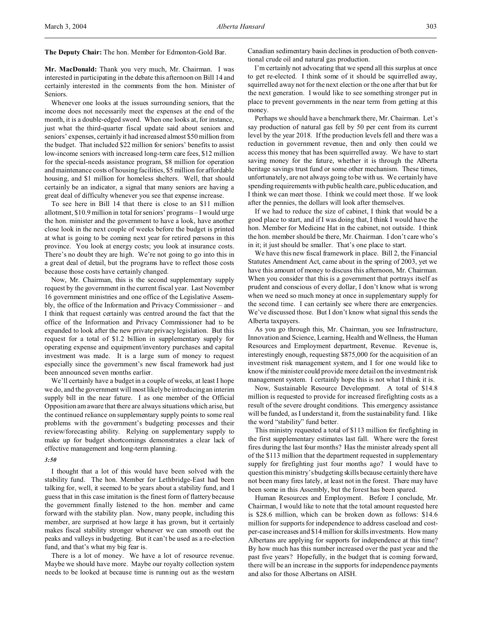**The Deputy Chair:** The hon. Member for Edmonton-Gold Bar.

**Mr. MacDonald:** Thank you very much, Mr. Chairman. I was interested in participating in the debate this afternoon on Bill 14 and certainly interested in the comments from the hon. Minister of Seniors.

Whenever one looks at the issues surrounding seniors, that the income does not necessarily meet the expenses at the end of the month, it is a double-edged sword. When one looks at, for instance, just what the third-quarter fiscal update said about seniors and seniors' expenses, certainly it had increased almost \$50 million from the budget. That included \$22 million for seniors' benefits to assist low-income seniors with increased long-term care fees, \$12 million for the special-needs assistance program, \$8 million for operation and maintenance costs of housing facilities, \$5 million for affordable housing, and \$1 million for homeless shelters. Well, that should certainly be an indicator, a signal that many seniors are having a great deal of difficulty whenever you see that expense increase.

To see here in Bill 14 that there is close to an \$11 million allotment, \$10.9 million in total for seniors' programs – I would urge the hon. minister and the government to have a look, have another close look in the next couple of weeks before the budget is printed at what is going to be coming next year for retired persons in this province. You look at energy costs; you look at insurance costs. There's no doubt they are high. We're not going to go into this in a great deal of detail, but the programs have to reflect those costs because those costs have certainly changed.

Now, Mr. Chairman, this is the second supplementary supply request by the government in the current fiscal year. Last November 16 government ministries and one office of the Legislative Assembly, the office of the Information and Privacy Commissioner – and I think that request certainly was centred around the fact that the office of the Information and Privacy Commissioner had to be expanded to look after the new private privacy legislation. But this request for a total of \$1.2 billion in supplementary supply for operating expense and equipment/inventory purchases and capital investment was made. It is a large sum of money to request especially since the government's new fiscal framework had just been announced seven months earlier.

We'll certainly have a budget in a couple of weeks, at least I hope we do, and the government will most likely be introducing an interim supply bill in the near future. I as one member of the Official Opposition am aware that there are always situations which arise, but the continued reliance on supplementary supply points to some real problems with the government's budgeting processes and their review/forecasting ability. Relying on supplementary supply to make up for budget shortcomings demonstrates a clear lack of effective management and long-term planning.

# *3:50*

I thought that a lot of this would have been solved with the stability fund. The hon. Member for Lethbridge-East had been talking for, well, it seemed to be years about a stability fund, and I guess that in this case imitation is the finest form of flattery because the government finally listened to the hon. member and came forward with the stability plan. Now, many people, including this member, are surprised at how large it has grown, but it certainly makes fiscal stability stronger whenever we can smooth out the peaks and valleys in budgeting. But it can't be used as a re-election fund, and that's what my big fear is.

There is a lot of money. We have a lot of resource revenue. Maybe we should have more. Maybe our royalty collection system needs to be looked at because time is running out as the western Canadian sedimentary basin declines in production of both conventional crude oil and natural gas production.

I'm certainly not advocating that we spend all this surplus at once to get re-elected. I think some of it should be squirrelled away, squirrelled away not for the next election or the one after that but for the next generation. I would like to see something stronger put in place to prevent governments in the near term from getting at this money.

Perhaps we should have a benchmark there, Mr. Chairman. Let's say production of natural gas fell by 50 per cent from its current level by the year 2018. If the production levels fell and there was a reduction in government revenue, then and only then could we access this money that has been squirrelled away. We have to start saving money for the future, whether it is through the Alberta heritage savings trust fund or some other mechanism. These times, unfortunately, are not always going to be with us. We certainly have spending requirements with public health care, public education, and I think we can meet those. I think we could meet those. If we look after the pennies, the dollars will look after themselves.

If we had to reduce the size of cabinet, I think that would be a good place to start, and if I was doing that, I think I would have the hon. Member for Medicine Hat in the cabinet, not outside. I think the hon. member should be there, Mr. Chairman. I don't care who's in it; it just should be smaller. That's one place to start.

We have this new fiscal framework in place. Bill 2, the Financial Statutes Amendment Act, came about in the spring of 2003, yet we have this amount of money to discuss this afternoon, Mr. Chairman. When you consider that this is a government that portrays itself as prudent and conscious of every dollar, I don't know what is wrong when we need so much money at once in supplementary supply for the second time. I can certainly see where there are emergencies. We've discussed those. But I don't know what signal this sends the Alberta taxpayers.

As you go through this, Mr. Chairman, you see Infrastructure, Innovation and Science, Learning, Health and Wellness, the Human Resources and Employment department, Revenue. Revenue is, interestingly enough, requesting \$875,000 for the acquisition of an investment risk management system, and I for one would like to know if the minister could provide more detail on the investment risk management system. I certainly hope this is not what I think it is.

Now, Sustainable Resource Development. A total of \$14.8 million is requested to provide for increased firefighting costs as a result of the severe drought conditions. This emergency assistance will be funded, as I understand it, from the sustainability fund. I like the word "stability" fund better.

This ministry requested a total of \$113 million for firefighting in the first supplementary estimates last fall. Where were the forest fires during the last four months? Has the minister already spent all of the \$113 million that the department requested in supplementary supply for firefighting just four months ago? I would have to question this ministry's budgeting skills because certainly there have not been many fires lately, at least not in the forest. There may have been some in this Assembly, but the forest has been spared.

Human Resources and Employment. Before I conclude, Mr. Chairman, I would like to note that the total amount requested here is \$28.6 million, which can be broken down as follows: \$14.6 million for supports for independence to address caseload and costper-case increases and \$14 million for skills investments. How many Albertans are applying for supports for independence at this time? By how much has this number increased over the past year and the past five years? Hopefully, in the budget that is coming forward, there will be an increase in the supports for independence payments and also for those Albertans on AISH.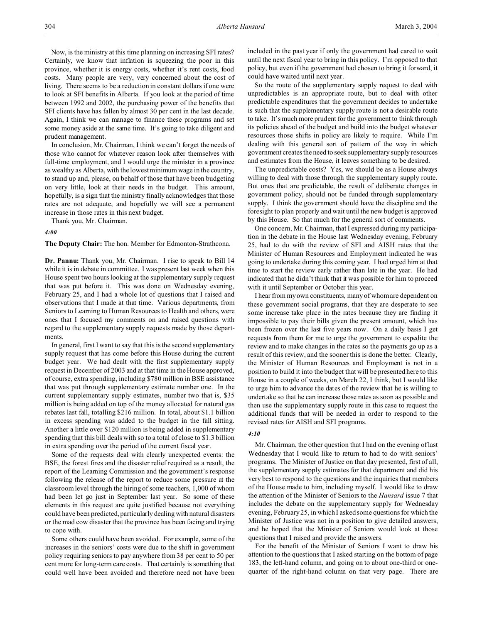Now, is the ministry at this time planning on increasing SFI rates? Certainly, we know that inflation is squeezing the poor in this province, whether it is energy costs, whether it's rent costs, food costs. Many people are very, very concerned about the cost of living. There seems to be a reduction in constant dollars if one were to look at SFI benefits in Alberta. If you look at the period of time between 1992 and 2002, the purchasing power of the benefits that SFI clients have has fallen by almost 30 per cent in the last decade. Again, I think we can manage to finance these programs and set some money aside at the same time. It's going to take diligent and prudent management.

In conclusion, Mr. Chairman, I think we can't forget the needs of those who cannot for whatever reason look after themselves with full-time employment, and I would urge the minister in a province as wealthy as Alberta, with the lowest minimum wage in the country, to stand up and, please, on behalf of those that have been budgeting on very little, look at their needs in the budget. This amount, hopefully, is a sign that the ministry finally acknowledges that those rates are not adequate, and hopefully we will see a permanent increase in those rates in this next budget.

Thank you, Mr. Chairman.

## *4:00*

**The Deputy Chair:** The hon. Member for Edmonton-Strathcona.

**Dr. Pannu:** Thank you, Mr. Chairman. I rise to speak to Bill 14 while it is in debate in committee. I was present last week when this House spent two hours looking at the supplementary supply request that was put before it. This was done on Wednesday evening, February 25, and I had a whole lot of questions that I raised and observations that I made at that time. Various departments, from Seniors to Learning to Human Resources to Health and others, were ones that I focused my comments on and raised questions with regard to the supplementary supply requests made by those departments.

In general, first I want to say that this is the second supplementary supply request that has come before this House during the current budget year. We had dealt with the first supplementary supply request in December of 2003 and at that time in the House approved, of course, extra spending, including \$780 million in BSE assistance that was put through supplementary estimate number one. In the current supplementary supply estimates, number two that is, \$35 million is being added on top of the money allocated for natural gas rebates last fall, totalling \$216 million. In total, about \$1.1 billion in excess spending was added to the budget in the fall sitting. Another a little over \$120 million is being added in supplementary spending that this bill deals with so to a total of close to \$1.3 billion in extra spending over the period of the current fiscal year.

Some of the requests deal with clearly unexpected events: the BSE, the forest fires and the disaster relief required as a result, the report of the Learning Commission and the government's response following the release of the report to reduce some pressure at the classroom level through the hiring of some teachers, 1,000 of whom had been let go just in September last year. So some of these elements in this request are quite justified because not everything could have been predicted, particularly dealing with natural disasters or the mad cow disaster that the province has been facing and trying to cope with.

Some others could have been avoided. For example, some of the increases in the seniors' costs were due to the shift in government policy requiring seniors to pay anywhere from 38 per cent to 50 per cent more for long-term care costs. That certainly is something that could well have been avoided and therefore need not have been included in the past year if only the government had cared to wait until the next fiscal year to bring in this policy. I'm opposed to that policy, but even if the government had chosen to bring it forward, it could have waited until next year.

So the route of the supplementary supply request to deal with unpredictables is an appropriate route, but to deal with other predictable expenditures that the government decides to undertake is such that the supplementary supply route is not a desirable route to take. It's much more prudent for the government to think through its policies ahead of the budget and build into the budget whatever resources those shifts in policy are likely to require. While I'm dealing with this general sort of pattern of the way in which government creates the need to seek supplementary supply resources and estimates from the House, it leaves something to be desired.

The unpredictable costs? Yes, we should be as a House always willing to deal with those through the supplementary supply route. But ones that are predictable, the result of deliberate changes in government policy, should not be funded through supplementary supply. I think the government should have the discipline and the foresight to plan properly and wait until the new budget is approved by this House. So that much for the general sort of comments.

One concern, Mr. Chairman, that I expressed during my participation in the debate in the House last Wednesday evening, February 25, had to do with the review of SFI and AISH rates that the Minister of Human Resources and Employment indicated he was going to undertake during this coming year. I had urged him at that time to start the review early rather than late in the year. He had indicated that he didn't think that it was possible for him to proceed with it until September or October this year.

I hear from my own constituents, many of whom are dependent on these government social programs, that they are desperate to see some increase take place in the rates because they are finding it impossible to pay their bills given the present amount, which has been frozen over the last five years now. On a daily basis I get requests from them for me to urge the government to expedite the review and to make changes in the rates so the payments go up as a result of this review, and the sooner this is done the better. Clearly, the Minister of Human Resources and Employment is not in a position to build it into the budget that will be presented here to this House in a couple of weeks, on March 22, I think, but I would like to urge him to advance the dates of the review that he is willing to undertake so that he can increase those rates as soon as possible and then use the supplementary supply route in this case to request the additional funds that will be needed in order to respond to the revised rates for AISH and SFI programs.

## *4:10*

Mr. Chairman, the other question that I had on the evening of last Wednesday that I would like to return to had to do with seniors' programs. The Minister of Justice on that day presented, first of all, the supplementary supply estimates for that department and did his very best to respond to the questions and the inquiries that members of the House made to him, including myself. I would like to draw the attention of the Minister of Seniors to the *Hansard* issue 7 that includes the debate on the supplementary supply for Wednesday evening, February 25, in which I asked some questions for which the Minister of Justice was not in a position to give detailed answers, and he hoped that the Minister of Seniors would look at those questions that I raised and provide the answers.

For the benefit of the Minister of Seniors I want to draw his attention to the questions that I asked starting on the bottom of page 183, the left-hand column, and going on to about one-third or onequarter of the right-hand column on that very page. There are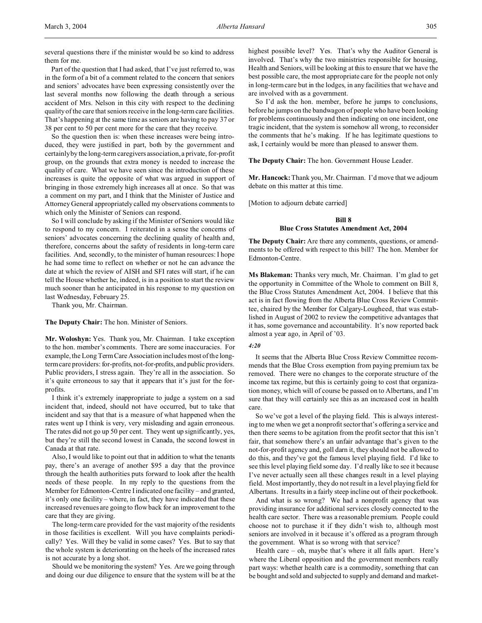several questions there if the minister would be so kind to address them for me.

Part of the question that I had asked, that I've just referred to, was in the form of a bit of a comment related to the concern that seniors and seniors' advocates have been expressing consistently over the last several months now following the death through a serious accident of Mrs. Nelson in this city with respect to the declining quality of the care that seniors receive in the long-term care facilities. That's happening at the same time as seniors are having to pay 37 or 38 per cent to 50 per cent more for the care that they receive.

So the question then is: when these increases were being introduced, they were justified in part, both by the government and certainly by the long-term caregivers association, a private, for-profit group, on the grounds that extra money is needed to increase the quality of care. What we have seen since the introduction of these increases is quite the opposite of what was argued in support of bringing in those extremely high increases all at once. So that was a comment on my part, and I think that the Minister of Justice and Attorney General appropriately called my observations comments to which only the Minister of Seniors can respond.

So I will conclude by asking if the Minister of Seniors would like to respond to my concern. I reiterated in a sense the concerns of seniors' advocates concerning the declining quality of health and, therefore, concerns about the safety of residents in long-term care facilities. And, secondly, to the minister of human resources: I hope he had some time to reflect on whether or not he can advance the date at which the review of AISH and SFI rates will start, if he can tell the House whether he, indeed, is in a position to start the review much sooner than he anticipated in his response to my question on last Wednesday, February 25.

Thank you, Mr. Chairman.

**The Deputy Chair:** The hon. Minister of Seniors.

**Mr. Woloshyn:** Yes. Thank you, Mr. Chairman. I take exception to the hon. member's comments. There are some inaccuracies. For example, the Long Term Care Association includes most of the longterm care providers: for-profits, not-for-profits, and public providers. Public providers, I stress again. They're all in the association. So it's quite erroneous to say that it appears that it's just for the forprofits.

I think it's extremely inappropriate to judge a system on a sad incident that, indeed, should not have occurred, but to take that incident and say that that is a measure of what happened when the rates went up I think is very, very misleading and again erroneous. The rates did not go up 50 per cent. They went up significantly, yes, but they're still the second lowest in Canada, the second lowest in Canada at that rate.

Also, I would like to point out that in addition to what the tenants pay, there's an average of another \$95 a day that the province through the health authorities puts forward to look after the health needs of these people. In my reply to the questions from the Member for Edmonton-Centre I indicated one facility – and granted, it's only one facility – where, in fact, they have indicated that these increased revenues are going to flow back for an improvement to the care that they are giving.

The long-term care provided for the vast majority of the residents in those facilities is excellent. Will you have complaints periodically? Yes. Will they be valid in some cases? Yes. But to say that the whole system is deteriorating on the heels of the increased rates is not accurate by a long shot.

Should we be monitoring the system? Yes. Are we going through and doing our due diligence to ensure that the system will be at the highest possible level? Yes. That's why the Auditor General is involved. That's why the two ministries responsible for housing, Health and Seniors, will be looking at this to ensure that we have the best possible care, the most appropriate care for the people not only in long-term care but in the lodges, in any facilities that we have and are involved with as a government.

So I'd ask the hon. member, before he jumps to conclusions, before he jumps on the bandwagon of people who have been looking for problems continuously and then indicating on one incident, one tragic incident, that the system is somehow all wrong, to reconsider the comments that he's making. If he has legitimate questions to ask, I certainly would be more than pleased to answer them.

**The Deputy Chair:** The hon. Government House Leader.

**Mr. Hancock:** Thank you, Mr. Chairman. I'd move that we adjourn debate on this matter at this time.

[Motion to adjourn debate carried]

# **Bill 8 Blue Cross Statutes Amendment Act, 2004**

**The Deputy Chair:** Are there any comments, questions, or amendments to be offered with respect to this bill? The hon. Member for Edmonton-Centre.

**Ms Blakeman:** Thanks very much, Mr. Chairman. I'm glad to get the opportunity in Committee of the Whole to comment on Bill 8, the Blue Cross Statutes Amendment Act, 2004. I believe that this act is in fact flowing from the Alberta Blue Cross Review Committee, chaired by the Member for Calgary-Lougheed, that was established in August of 2002 to review the competitive advantages that it has, some governance and accountability. It's now reported back almost a year ago, in April of '03.

# *4:20*

It seems that the Alberta Blue Cross Review Committee recommends that the Blue Cross exemption from paying premium tax be removed. There were no changes to the corporate structure of the income tax regime, but this is certainly going to cost that organization money, which will of course be passed on to Albertans, and I'm sure that they will certainly see this as an increased cost in health care.

So we've got a level of the playing field. This is always interesting to me when we get a nonprofit sector that's offering a service and then there seems to be agitation from the profit sector that this isn't fair, that somehow there's an unfair advantage that's given to the not-for-profit agency and, goll darn it, they should not be allowed to do this, and they've got the famous level playing field. I'd like to see this level playing field some day. I'd really like to see it because I've never actually seen all these changes result in a level playing field. Most importantly, they do not result in a level playing field for Albertans. It results in a fairly steep incline out of their pocketbook.

And what is so wrong? We had a nonprofit agency that was providing insurance for additional services closely connected to the health care sector. There was a reasonable premium. People could choose not to purchase it if they didn't wish to, although most seniors are involved in it because it's offered as a program through the government. What is so wrong with that service?

Health care – oh, maybe that's where it all falls apart. Here's where the Liberal opposition and the government members really part ways: whether health care is a commodity, something that can be bought and sold and subjected to supply and demand and market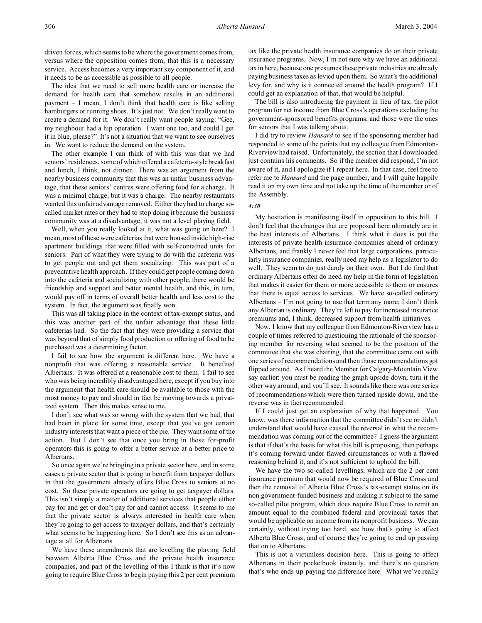driven forces, which seems to be where the government comes from, versus where the opposition comes from, that this is a necessary service. Access becomes a very important key component of it, and it needs to be as accessible as possible to all people.

The idea that we need to sell more health care or increase the demand for health care that somehow results in an additional payment – I mean, I don't think that health care is like selling hamburgers or running shoes. It's just not. We don't really want to create a demand for it. We don't really want people saying: "Gee, my neighbour had a hip operation. I want one too, and could I get it in blue, please?" It's not a situation that we want to see ourselves in. We want to reduce the demand on the system.

The other example I can think of with this was that we had seniors' residences, some of which offered a cafeteria-style breakfast and lunch, I think, not dinner. There was an argument from the nearby business community that this was an unfair business advantage, that these seniors' centres were offering food for a charge. It was a minimal charge, but it was a charge. The nearby restaurants wanted this unfair advantage removed. Either they had to charge socalled market rates or they had to stop doing it because the business community was at a disadvantage; it was not a level playing field.

Well, when you really looked at it, what was going on here? I mean, most of these were cafeterias that were housed inside high-rise apartment buildings that were filled with self-contained units for seniors. Part of what they were trying to do with the cafeteria was to get people out and get them socializing. This was part of a preventative health approach. If they could get people coming down into the cafeteria and socializing with other people, there would be friendship and support and better mental health, and this, in turn, would pay off in terms of overall better health and less cost to the system. In fact, the argument was finally won.

This was all taking place in the context of tax-exempt status, and this was another part of the unfair advantage that these little cafeterias had. So the fact that they were providing a service that was beyond that of simply food production or offering of food to be purchased was a determining factor.

I fail to see how the argument is different here. We have a nonprofit that was offering a reasonable service. It benefited Albertans. It was offered at a reasonable cost to them. I fail to see who was being incredibly disadvantaged here, except if you buy into the argument that health care should be available to those with the most money to pay and should in fact be moving towards a privatized system. Then this makes sense to me.

I don't see what was so wrong with the system that we had, that had been in place for some time, except that you've got certain industry interests that want a piece of the pie. They want some of the action. But I don't see that once you bring in those for-profit operators this is going to offer a better service at a better price to Albertans.

So once again we're bringing in a private sector here, and in some cases a private sector that is going to benefit from taxpayer dollars in that the government already offers Blue Cross to seniors at no cost. So these private operators are going to get taxpayer dollars. This isn't simply a matter of additional services that people either pay for and get or don't pay for and cannot access. It seems to me that the private sector is always interested in health care when they're going to get access to taxpayer dollars, and that's certainly what seems to be happening here. So I don't see this as an advantage at all for Albertans.

We have these amendments that are levelling the playing field between Alberta Blue Cross and the private health insurance companies, and part of the levelling of this I think is that it's now going to require Blue Cross to begin paying this 2 per cent premium

tax like the private health insurance companies do on their private insurance programs. Now, I'm not sure why we have an additional tax in here, because one presumes these private industries are already paying business taxes as levied upon them. So what's the additional levy for, and why is it connected around the health program? If I could get an explanation of that, that would be helpful.

The bill is also introducing the payment in lieu of tax, the pilot program for net income from Blue Cross's operations excluding the government-sponsored benefits programs, and those were the ones for seniors that I was talking about.

I did try to review *Hansard* to see if the sponsoring member had responded to some of the points that my colleague from Edmonton-Riverview had raised. Unfortunately, the section that I downloaded just contains his comments. So if the member did respond, I'm not aware of it, and I apologize if I repeat here. In that case, feel free to refer me to *Hansard* and the page number, and I will quite happily read it on my own time and not take up the time of the member or of the Assembly.

# *4:30*

My hesitation is manifesting itself in opposition to this bill. I don't feel that the changes that are proposed here ultimately are in the best interests of Albertans. I think what it does is put the interests of private health insurance companies ahead of ordinary Albertans, and frankly I never feel that large corporations, particularly insurance companies, really need my help as a legislator to do well. They seem to do just dandy on their own. But I do find that ordinary Albertans often do need my help in the form of legislation that makes it easier for them or more accessible to them or ensures that there is equal access to services. We have so-called ordinary Albertans – I'm not going to use that term any more; I don't think any Albertan is ordinary. They're left to pay for increased insurance premiums and, I think, decreased support from health initiatives.

Now, I know that my colleague from Edmonton-Riverview has a couple of times referred to questioning the rationale of the sponsoring member for reversing what seemed to be the position of the committee that she was chairing, that the committee came out with one series of recommendations and then those recommendations got flipped around. As I heard the Member for Calgary-Mountain View say earlier: you must be reading the graph upside down; turn it the other way around, and you'll see. It sounds like there was one series of recommendations which were then turned upside down, and the reverse was in fact recommended.

If I could just get an explanation of why that happened. You know, was there information that the committee didn't see or didn't understand that would have caused the reversal in what the recommendation was coming out of the committee? I guess the argument is that if that's the basis for what this bill is proposing, then perhaps it's coming forward under flawed circumstances or with a flawed reasoning behind it, and it's not sufficient to uphold the bill.

We have the two so-called levellings, which are the 2 per cent insurance premium that would now be required of Blue Cross and then the removal of Alberta Blue Cross's tax-exempt status on its non government-funded business and making it subject to the same so-called pilot program, which does require Blue Cross to remit an amount equal to the combined federal and provincial taxes that would be applicable on income from its nonprofit business. We can certainly, without trying too hard, see how that's going to affect Alberta Blue Cross, and of course they're going to end up passing that on to Albertans.

This is not a victimless decision here. This is going to affect Albertans in their pocketbook instantly, and there's no question that's who ends up paying the difference here. What we've really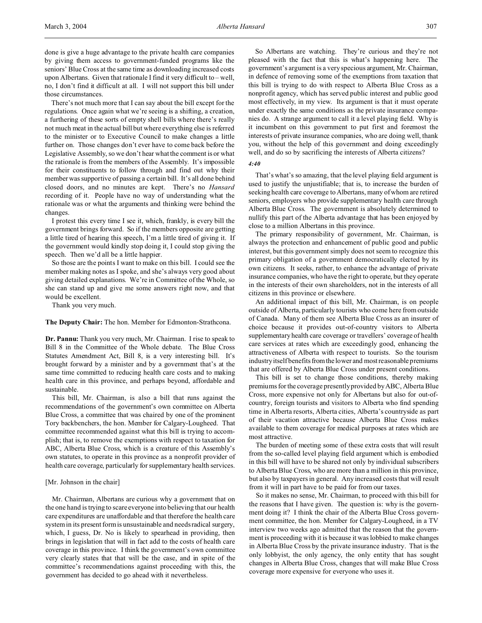done is give a huge advantage to the private health care companies by giving them access to government-funded programs like the seniors' Blue Cross at the same time as downloading increased costs upon Albertans. Given that rationale I find it very difficult to – well, no, I don't find it difficult at all. I will not support this bill under those circumstances.

There's not much more that I can say about the bill except for the regulations. Once again what we're seeing is a shifting, a creation, a furthering of these sorts of empty shell bills where there's really not much meat in the actual bill but where everything else is referred to the minister or to Executive Council to make changes a little further on. Those changes don't ever have to come back before the Legislative Assembly, so we don't hear what the comment is or what the rationale is from the members of the Assembly. It's impossible for their constituents to follow through and find out why their member was supportive of passing a certain bill. It's all done behind closed doors, and no minutes are kept. There's no *Hansard* recording of it. People have no way of understanding what the rationale was or what the arguments and thinking were behind the changes.

I protest this every time I see it, which, frankly, is every bill the government brings forward. So if the members opposite are getting a little tired of hearing this speech, I'm a little tired of giving it. If the government would kindly stop doing it, I could stop giving the speech. Then we'd all be a little happier.

So those are the points I want to make on this bill. I could see the member making notes as I spoke, and she's always very good about giving detailed explanations. We're in Committee of the Whole, so she can stand up and give me some answers right now, and that would be excellent.

Thank you very much.

## **The Deputy Chair:** The hon. Member for Edmonton-Strathcona.

**Dr. Pannu:** Thank you very much, Mr. Chairman. I rise to speak to Bill 8 in the Committee of the Whole debate. The Blue Cross Statutes Amendment Act, Bill 8, is a very interesting bill. It's brought forward by a minister and by a government that's at the same time committed to reducing health care costs and to making health care in this province, and perhaps beyond, affordable and sustainable.

This bill, Mr. Chairman, is also a bill that runs against the recommendations of the government's own committee on Alberta Blue Cross, a committee that was chaired by one of the prominent Tory backbenchers, the hon. Member for Calgary-Lougheed. That committee recommended against what this bill is trying to accomplish; that is, to remove the exemptions with respect to taxation for ABC, Alberta Blue Cross, which is a creature of this Assembly's own statutes, to operate in this province as a nonprofit provider of health care coverage, particularly for supplementary health services.

#### [Mr. Johnson in the chair]

Mr. Chairman, Albertans are curious why a government that on the one hand is trying to scare everyone into believing that our health care expenditures are unaffordable and that therefore the health care system in its present form is unsustainable and needs radical surgery, which, I guess, Dr. No is likely to spearhead in providing, then brings in legislation that will in fact add to the costs of health care coverage in this province. I think the government's own committee very clearly states that that will be the case, and in spite of the committee's recommendations against proceeding with this, the government has decided to go ahead with it nevertheless.

So Albertans are watching. They're curious and they're not pleased with the fact that this is what's happening here. The government's argument is a very specious argument, Mr. Chairman, in defence of removing some of the exemptions from taxation that this bill is trying to do with respect to Alberta Blue Cross as a nonprofit agency, which has served public interest and public good most effectively, in my view. Its argument is that it must operate under exactly the same conditions as the private insurance companies do. A strange argument to call it a level playing field. Why is it incumbent on this government to put first and foremost the interests of private insurance companies, who are doing well, thank you, without the help of this government and doing exceedingly well, and do so by sacrificing the interests of Alberta citizens?

## *4:40*

That's what's so amazing, that the level playing field argument is used to justify the unjustifiable; that is, to increase the burden of seeking health care coverage to Albertans, many of whom are retired seniors, employers who provide supplementary health care through Alberta Blue Cross. The government is absolutely determined to nullify this part of the Alberta advantage that has been enjoyed by close to a million Albertans in this province.

The primary responsibility of government, Mr. Chairman, is always the protection and enhancement of public good and public interest, but this government simply does not seem to recognize this primary obligation of a government democratically elected by its own citizens. It seeks, rather, to enhance the advantage of private insurance companies, who have the right to operate, but they operate in the interests of their own shareholders, not in the interests of all citizens in this province or elsewhere.

An additional impact of this bill, Mr. Chairman, is on people outside of Alberta, particularly tourists who come here from outside of Canada. Many of them see Alberta Blue Cross as an insurer of choice because it provides out-of-country visitors to Alberta supplementary health care coverage or travellers' coverage of health care services at rates which are exceedingly good, enhancing the attractiveness of Alberta with respect to tourists. So the tourism industry itself benefits from the lower and most reasonable premiums that are offered by Alberta Blue Cross under present conditions.

This bill is set to change those conditions, thereby making premiums for the coverage presently provided by ABC, Alberta Blue Cross, more expensive not only for Albertans but also for out-ofcountry, foreign tourists and visitors to Alberta who find spending time in Alberta resorts, Alberta cities, Alberta's countryside as part of their vacation attractive because Alberta Blue Cross makes available to them coverage for medical purposes at rates which are most attractive.

The burden of meeting some of these extra costs that will result from the so-called level playing field argument which is embodied in this bill will have to be shared not only by individual subscribers to Alberta Blue Cross, who are more than a million in this province, but also by taxpayers in general. Any increased costs that will result from it will in part have to be paid for from our taxes.

So it makes no sense, Mr. Chairman, to proceed with this bill for the reasons that I have given. The question is: why is the government doing it? I think the chair of the Alberta Blue Cross government committee, the hon. Member for Calgary-Lougheed, in a TV interview two weeks ago admitted that the reason that the government is proceeding with it is because it was lobbied to make changes in Alberta Blue Cross by the private insurance industry. That is the only lobbyist, the only agency, the only entity that has sought changes in Alberta Blue Cross, changes that will make Blue Cross coverage more expensive for everyone who uses it.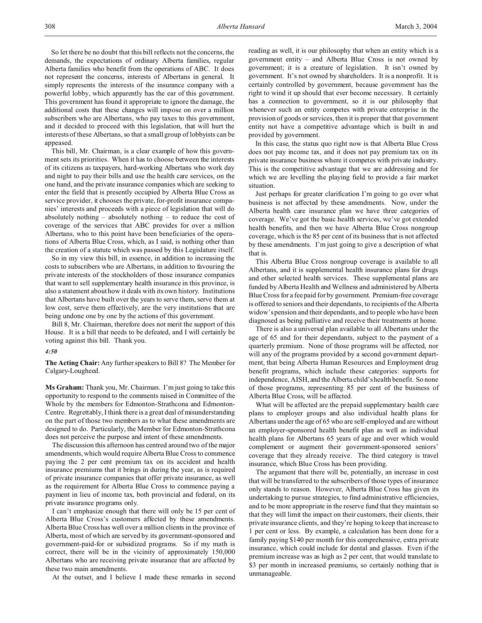So let there be no doubt that this bill reflects not the concerns, the demands, the expectations of ordinary Alberta families, regular Alberta families who benefit from the operations of ABC. It does not represent the concerns, interests of Albertans in general. It simply represents the interests of the insurance company with a powerful lobby, which apparently has the ear of this government. This government has found it appropriate to ignore the damage, the additional costs that these changes will impose on over a million subscribers who are Albertans, who pay taxes to this government, and it decided to proceed with this legislation, that will hurt the interests of these Albertans, so that a small group of lobbyists can be appeased.

This bill, Mr. Chairman, is a clear example of how this government sets its priorities. When it has to choose between the interests of its citizens as taxpayers, hard-working Albertans who work day and night to pay their bills and use the health care services, on the one hand, and the private insurance companies which are seeking to enter the field that is presently occupied by Alberta Blue Cross as service provider, it chooses the private, for-profit insurance companies' interests and proceeds with a piece of legislation that will do absolutely nothing – absolutely nothing – to reduce the cost of coverage of the services that ABC provides for over a million Albertans, who to this point have been beneficiaries of the operations of Alberta Blue Cross, which, as I said, is nothing other than the creation of a statute which was passed by this Legislature itself.

So in my view this bill, in essence, in addition to increasing the costs to subscribers who are Albertans, in addition to favouring the private interests of the stockholders of those insurance companies that want to sell supplementary health insurance in this province, is also a statement about how it deals with its own history. Institutions that Albertans have built over the years to serve them, serve them at low cost, serve them effectively, are the very institutions that are being undone one by one by the actions of this government.

Bill 8, Mr. Chairman, therefore does not merit the support of this House. It is a bill that needs to be defeated, and I will certainly be voting against this bill. Thank you.

#### *4:50*

**The Acting Chair:** Any further speakers to Bill 8? The Member for Calgary-Lougheed.

**Ms Graham:** Thank you, Mr. Chairman. I'm just going to take this opportunity to respond to the comments raised in Committee of the Whole by the members for Edmonton-Strathcona and Edmonton-Centre. Regrettably, I think there is a great deal of misunderstanding on the part of those two members as to what these amendments are designed to do. Particularly, the Member for Edmonton-Strathcona does not perceive the purpose and intent of these amendments.

The discussion this afternoon has centred around two of the major amendments, which would require Alberta Blue Cross to commence paying the 2 per cent premium tax on its accident and health insurance premiums that it brings in during the year, as is required of private insurance companies that offer private insurance, as well as the requirement for Alberta Blue Cross to commence paying a payment in lieu of income tax, both provincial and federal, on its private insurance programs only.

I can't emphasize enough that there will only be 15 per cent of Alberta Blue Cross's customers affected by these amendments. Alberta Blue Cross has well over a million clients in the province of Alberta, most of which are served by its government-sponsored and government-paid-for or subsidized programs. So if my math is correct, there will be in the vicinity of approximately 150,000 Albertans who are receiving private insurance that are affected by these two main amendments.

At the outset, and I believe I made these remarks in second

reading as well, it is our philosophy that when an entity which is a government entity – and Alberta Blue Cross is not owned by government; it is a creature of legislation. It isn't owned by government. It's not owned by shareholders. It is a nonprofit. It is certainly controlled by government, because government has the right to wind it up should that ever become necessary. It certainly has a connection to government, so it is our philosophy that whenever such an entity competes with private enterprise in the provision of goods or services, then it is proper that that government entity not have a competitive advantage which is built in and provided by government.

In this case, the status quo right now is that Alberta Blue Cross does not pay income tax, and it does not pay premium tax on its private insurance business where it competes with private industry. This is the competitive advantage that we are addressing and for which we are levelling the playing field to provide a fair market situation.

Just perhaps for greater clarification I'm going to go over what business is not affected by these amendments. Now, under the Alberta health care insurance plan we have three categories of coverage. We've got the basic health services, we've got extended health benefits, and then we have Alberta Blue Cross nongroup coverage, which is the 85 per cent of its business that is not affected by these amendments. I'm just going to give a description of what that is.

This Alberta Blue Cross nongroup coverage is available to all Albertans, and it is supplemental health insurance plans for drugs and other selected health services. These supplemental plans are funded by Alberta Health and Wellness and administered by Alberta Blue Cross for a fee paid for by government. Premium-free coverage is offered to seniors and their dependants, to recipients of the Alberta widow's pension and their dependants, and to people who have been diagnosed as being palliative and receive their treatments at home.

There is also a universal plan available to all Albertans under the age of 65 and for their dependants, subject to the payment of a quarterly premium. None of those programs will be affected, nor will any of the programs provided by a second government department, that being Alberta Human Resources and Employment drug benefit programs, which include these categories: supports for independence, AISH, and the Alberta child's health benefit. So none of those programs, representing 85 per cent of the business of Alberta Blue Cross, will be affected.

What will be affected are the prepaid supplementary health care plans to employer groups and also individual health plans for Albertans under the age of 65 who are self-employed and are without an employer-sponsored health benefit plan as well as individual health plans for Albertans 65 years of age and over which would complement or augment their government-sponsored seniors' coverage that they already receive. The third category is travel insurance, which Blue Cross has been providing.

The argument that there will be, potentially, an increase in cost that will be transferred to the subscribers of those types of insurance only stands to reason. However, Alberta Blue Cross has given its undertaking to pursue strategies, to find administrative efficiencies, and to be more appropriate in the reserve fund that they maintain so that they will limit the impact on their customers, their clients, their private insurance clients, and they're hoping to keep that increase to 1 per cent or less. By example, a calculation has been done for a family paying \$140 per month for this comprehensive, extra private insurance, which could include for dental and glasses. Even if the premium increase was as high as 2 per cent, that would translate to \$3 per month in increased premiums, so certainly nothing that is unmanageable.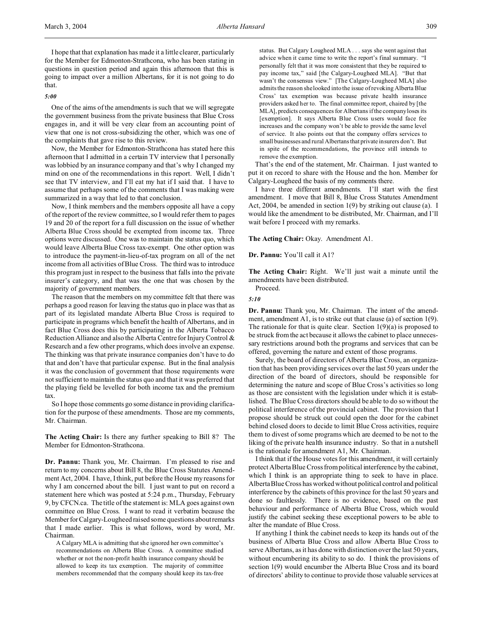I hope that that explanation has made it a little clearer, particularly for the Member for Edmonton-Strathcona, who has been stating in questions in question period and again this afternoon that this is going to impact over a million Albertans, for it is not going to do that.

## *5:00*

One of the aims of the amendments is such that we will segregate the government business from the private business that Blue Cross engages in, and it will be very clear from an accounting point of view that one is not cross-subsidizing the other, which was one of the complaints that gave rise to this review.

Now, the Member for Edmonton-Strathcona has stated here this afternoon that I admitted in a certain TV interview that I personally was lobbied by an insurance company and that's why I changed my mind on one of the recommendations in this report. Well, I didn't see that TV interview, and I'll eat my hat if I said that. I have to assume that perhaps some of the comments that I was making were summarized in a way that led to that conclusion.

Now, I think members and the members opposite all have a copy of the report of the review committee, so I would refer them to pages 19 and 20 of the report for a full discussion on the issue of whether Alberta Blue Cross should be exempted from income tax. Three options were discussed. One was to maintain the status quo, which would leave Alberta Blue Cross tax-exempt. One other option was to introduce the payment-in-lieu-of-tax program on all of the net income from all activities of Blue Cross. The third was to introduce this program just in respect to the business that falls into the private insurer's category, and that was the one that was chosen by the majority of government members.

The reason that the members on my committee felt that there was perhaps a good reason for leaving the status quo in place was that as part of its legislated mandate Alberta Blue Cross is required to participate in programs which benefit the health of Albertans, and in fact Blue Cross does this by participating in the Alberta Tobacco Reduction Alliance and also the Alberta Centre for Injury Control & Research and a few other programs, which does involve an expense. The thinking was that private insurance companies don't have to do that and don't have that particular expense. But in the final analysis it was the conclusion of government that those requirements were not sufficient to maintain the status quo and that it was preferred that the playing field be levelled for both income tax and the premium tax.

So I hope those comments go some distance in providing clarification for the purpose of these amendments. Those are my comments, Mr. Chairman.

**The Acting Chair:** Is there any further speaking to Bill 8? The Member for Edmonton-Strathcona.

**Dr. Pannu:** Thank you, Mr. Chairman. I'm pleased to rise and return to my concerns about Bill 8, the Blue Cross Statutes Amendment Act, 2004. I have, I think, put before the House my reasons for why I am concerned about the bill. I just want to put on record a statement here which was posted at 5:24 p.m., Thursday, February 9, by CFCN.ca. The title of the statement is: MLA goes against own committee on Blue Cross. I want to read it verbatim because the Member for Calgary-Lougheed raised some questions about remarks that I made earlier. This is what follows, word by word, Mr. Chairman.

A Calgary MLA is admitting that she ignored her own committee's recommendations on Alberta Blue Cross. A committee studied whether or not the non-profit health insurance company should be allowed to keep its tax exemption. The majority of committee members recommended that the company should keep its tax-free status. But Calgary Lougheed MLA . . . says she went against that advice when it came time to write the report's final summary. "I personally felt that it was more consistent that they be required to pay income tax," said [the Calgary-Lougheed MLA]. "But that wasn't the consensus view." [The Calgary-Lougheed MLA] also admits the reason she looked into the issue of revoking Alberta Blue Cross' tax exemption was because private health insurance providers asked her to. The final committee report, chaired by [the MLA], predicts consequences for Albertans if the company loses its [exemption]. It says Alberta Blue Cross users would face fee increases and the company won't be able to provide the same level of service. It also points out that the company offers services to small businesses and rural Albertans that private insurers don't. But in spite of the recommendations, the province still intends to remove the exemption.

That's the end of the statement, Mr. Chairman. I just wanted to put it on record to share with the House and the hon. Member for Calgary-Lougheed the basis of my comments there.

I have three different amendments. I'll start with the first amendment. I move that Bill 8, Blue Cross Statutes Amendment Act, 2004, be amended in section 1(9) by striking out clause (a). I would like the amendment to be distributed, Mr. Chairman, and I'll wait before I proceed with my remarks.

**The Acting Chair:** Okay. Amendment A1.

**Dr. Pannu:** You'll call it A1?

**The Acting Chair:** Right. We'll just wait a minute until the amendments have been distributed.

Proceed.

*5:10*

**Dr. Pannu:** Thank you, Mr. Chairman. The intent of the amendment, amendment A1, is to strike out that clause (a) of section 1(9). The rationale for that is quite clear. Section  $1(9)(a)$  is proposed to be struck from the act because it allows the cabinet to place unnecessary restrictions around both the programs and services that can be offered, governing the nature and extent of those programs.

Surely, the board of directors of Alberta Blue Cross, an organization that has been providing services over the last 50 years under the direction of the board of directors, should be responsible for determining the nature and scope of Blue Cross's activities so long as those are consistent with the legislation under which it is established. The Blue Cross directors should be able to do so without the political interference of the provincial cabinet. The provision that I propose should be struck out could open the door for the cabinet behind closed doors to decide to limit Blue Cross activities, require them to divest of some programs which are deemed to be not to the liking of the private health insurance industry. So that in a nutshell is the rationale for amendment A1, Mr. Chairman.

I think that if the House votes for this amendment, it will certainly protect Alberta Blue Cross from political interference by the cabinet, which I think is an appropriate thing to seek to have in place. Alberta Blue Cross has worked without political control and political interference by the cabinets of this province for the last 50 years and done so faultlessly. There is no evidence, based on the past behaviour and performance of Alberta Blue Cross, which would justify the cabinet seeking these exceptional powers to be able to alter the mandate of Blue Cross.

If anything I think the cabinet needs to keep its hands out of the business of Alberta Blue Cross and allow Alberta Blue Cross to serve Albertans, as it has done with distinction over the last 50 years, without encumbering its ability to so do. I think the provisions of section 1(9) would encumber the Alberta Blue Cross and its board of directors' ability to continue to provide those valuable services at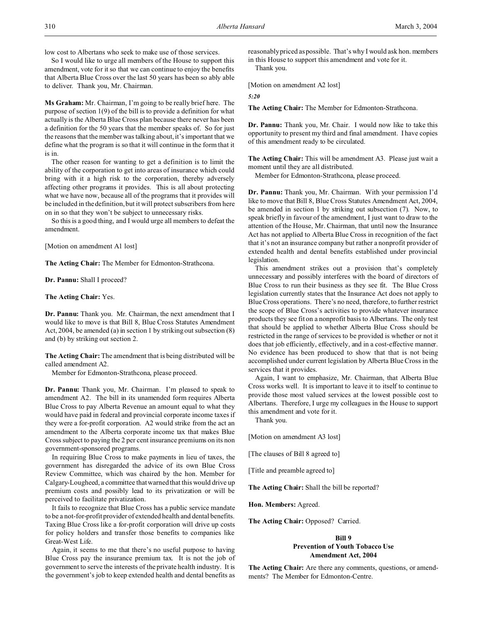low cost to Albertans who seek to make use of those services.

So I would like to urge all members of the House to support this amendment, vote for it so that we can continue to enjoy the benefits that Alberta Blue Cross over the last 50 years has been so ably able to deliver. Thank you, Mr. Chairman.

**Ms Graham:** Mr. Chairman, I'm going to be really brief here. The purpose of section 1(9) of the bill is to provide a definition for what actually is the Alberta Blue Cross plan because there never has been a definition for the 50 years that the member speaks of. So for just the reasons that the member was talking about, it's important that we define what the program is so that it will continue in the form that it is in.

The other reason for wanting to get a definition is to limit the ability of the corporation to get into areas of insurance which could bring with it a high risk to the corporation, thereby adversely affecting other programs it provides. This is all about protecting what we have now, because all of the programs that it provides will be included in the definition, but it will protect subscribers from here on in so that they won't be subject to unnecessary risks.

So this is a good thing, and I would urge all members to defeat the amendment.

[Motion on amendment A1 lost]

**The Acting Chair:** The Member for Edmonton-Strathcona.

**Dr. Pannu:** Shall I proceed?

**The Acting Chair:** Yes.

**Dr. Pannu:** Thank you. Mr. Chairman, the next amendment that I would like to move is that Bill 8, Blue Cross Statutes Amendment Act, 2004, be amended (a) in section 1 by striking out subsection (8) and (b) by striking out section 2.

**The Acting Chair:** The amendment that is being distributed will be called amendment A2.

Member for Edmonton-Strathcona, please proceed.

**Dr. Pannu:** Thank you, Mr. Chairman. I'm pleased to speak to amendment A2. The bill in its unamended form requires Alberta Blue Cross to pay Alberta Revenue an amount equal to what they would have paid in federal and provincial corporate income taxes if they were a for-profit corporation. A2 would strike from the act an amendment to the Alberta corporate income tax that makes Blue Cross subject to paying the 2 per cent insurance premiums on its non government-sponsored programs.

In requiring Blue Cross to make payments in lieu of taxes, the government has disregarded the advice of its own Blue Cross Review Committee, which was chaired by the hon. Member for Calgary-Lougheed, a committee that warned that this would drive up premium costs and possibly lead to its privatization or will be perceived to facilitate privatization.

It fails to recognize that Blue Cross has a public service mandate to be a not-for-profit provider of extended health and dental benefits. Taxing Blue Cross like a for-profit corporation will drive up costs for policy holders and transfer those benefits to companies like Great-West Life.

Again, it seems to me that there's no useful purpose to having Blue Cross pay the insurance premium tax. It is not the job of government to serve the interests of the private health industry. It is the government's job to keep extended health and dental benefits as

reasonably priced as possible. That's why I would ask hon. members in this House to support this amendment and vote for it.

Thank you.

[Motion on amendment A2 lost]

*5:20*

**The Acting Chair:** The Member for Edmonton-Strathcona.

**Dr. Pannu:** Thank you, Mr. Chair. I would now like to take this opportunity to present my third and final amendment. I have copies of this amendment ready to be circulated.

**The Acting Chair:** This will be amendment A3. Please just wait a moment until they are all distributed.

Member for Edmonton-Strathcona, please proceed.

**Dr. Pannu:** Thank you, Mr. Chairman. With your permission I'd like to move that Bill 8, Blue Cross Statutes Amendment Act, 2004, be amended in section 1 by striking out subsection (7). Now, to speak briefly in favour of the amendment, I just want to draw to the attention of the House, Mr. Chairman, that until now the Insurance Act has not applied to Alberta Blue Cross in recognition of the fact that it's not an insurance company but rather a nonprofit provider of extended health and dental benefits established under provincial legislation.

This amendment strikes out a provision that's completely unnecessary and possibly interferes with the board of directors of Blue Cross to run their business as they see fit. The Blue Cross legislation currently states that the Insurance Act does not apply to Blue Cross operations. There's no need, therefore, to further restrict the scope of Blue Cross's activities to provide whatever insurance products they see fit on a nonprofit basis to Albertans. The only test that should be applied to whether Alberta Blue Cross should be restricted in the range of services to be provided is whether or not it does that job efficiently, effectively, and in a cost-effective manner. No evidence has been produced to show that that is not being accomplished under current legislation by Alberta Blue Cross in the services that it provides.

Again, I want to emphasize, Mr. Chairman, that Alberta Blue Cross works well. It is important to leave it to itself to continue to provide those most valued services at the lowest possible cost to Albertans. Therefore, I urge my colleagues in the House to support this amendment and vote for it.

Thank you.

[Motion on amendment A3 lost]

[The clauses of Bill 8 agreed to]

[Title and preamble agreed to]

**The Acting Chair:** Shall the bill be reported?

**Hon. Members:** Agreed.

**The Acting Chair:** Opposed? Carried.

# **Bill 9 Prevention of Youth Tobacco Use Amendment Act, 2004**

**The Acting Chair:** Are there any comments, questions, or amendments? The Member for Edmonton-Centre.